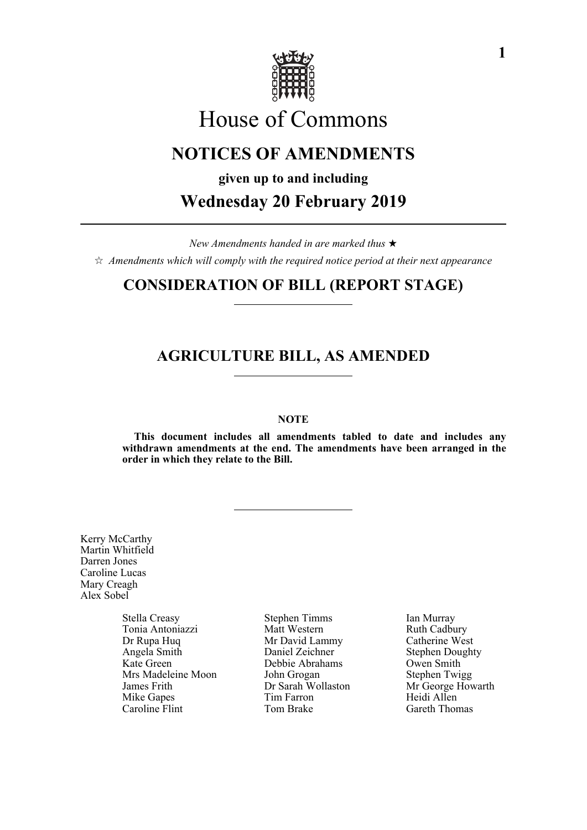

# House of Commons

## **NOTICES OF AMENDMENTS**

**given up to and including**

**Wednesday 20 February 2019**

*New Amendments handed in are marked thus*   $\hat{\varphi}$  Amendments which will comply with the required notice period at their next appearance

## **CONSIDERATION OF BILL (REPORT STAGE)**

## **AGRICULTURE BILL, AS AMENDED**

#### **NOTE**

**This document includes all amendments tabled to date and includes any withdrawn amendments at the end. The amendments have been arranged in the order in which they relate to the Bill.**

Kerry McCarthy Martin Whitfield Darren Jones Caroline Lucas Mary Creagh Alex Sobel

> Tonia Antoniazzi Matt Western Ruth Cadbury<br>
> Dr Rupa Huq Mr David Lammy Catherine West Dr Rupa Huq<br>
> Mr David Lammy Catherine West<br>
> Daniel Zeichner Stephen Dought Angela Smith Daniel Zeichner Stephen Doughty<br>
> Kate Green Debbie Abrahams Owen Smith Mrs Madeleine Moon John Grogan Stephen Twigg<br>
> James Frith Dr Sarah Wollaston Mr George Hov James Frith Dr Sarah Wollaston Mr George Howarth<br>
> Mike Ganes Tim Farron Heidi Allen Mike Gapes Tim Farron<br>Caroline Flint Tom Brake

Stella Creasy Stephen Timms Ian Murray Debbie Abrahams

Gareth Thomas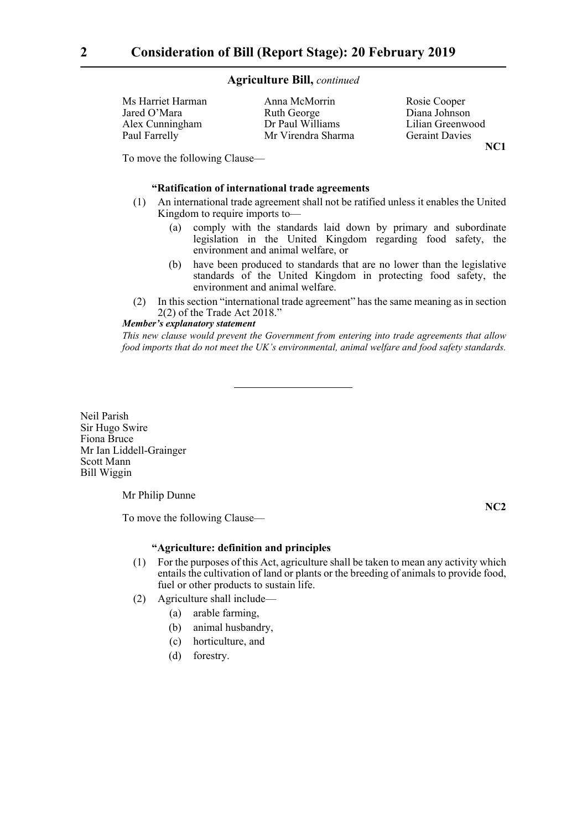| Ms Harriet Harman | Anna McMorrin      | Rosie Cooper          |
|-------------------|--------------------|-----------------------|
| Jared O'Mara      | Ruth George        | Diana Johnson         |
| Alex Cunningham   | Dr Paul Williams   | Lilian Greenwood      |
| Paul Farrelly     | Mr Virendra Sharma | <b>Geraint Davies</b> |
|                   |                    |                       |

**NC1**

To move the following Clause—

#### **"Ratification of international trade agreements**

- (1) An international trade agreement shall not be ratified unless it enables the United Kingdom to require imports to—
	- (a) comply with the standards laid down by primary and subordinate legislation in the United Kingdom regarding food safety, the environment and animal welfare, or
	- (b) have been produced to standards that are no lower than the legislative standards of the United Kingdom in protecting food safety, the environment and animal welfare.
- (2) In this section "international trade agreement" has the same meaning as in section 2(2) of the Trade Act 2018."

#### *Member's explanatory statement*

*This new clause would prevent the Government from entering into trade agreements that allow food imports that do not meet the UK's environmental, animal welfare and food safety standards.*

Neil Parish Sir Hugo Swire Fiona Bruce Mr Ian Liddell-Grainger Scott Mann Bill Wiggin

Mr Philip Dunne

To move the following Clause—

**NC2**

#### **"Agriculture: definition and principles**

- (1) For the purposes of this Act, agriculture shall be taken to mean any activity which entails the cultivation of land or plants or the breeding of animals to provide food, fuel or other products to sustain life.
- (2) Agriculture shall include—
	- (a) arable farming,
	- (b) animal husbandry,
	- (c) horticulture, and
	- (d) forestry.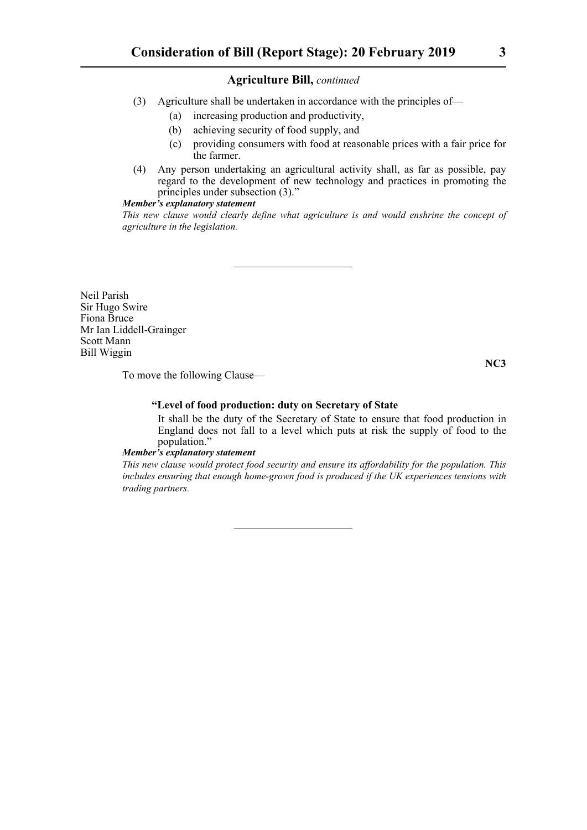- (3) Agriculture shall be undertaken in accordance with the principles of—
	- (a) increasing production and productivity,
	- (b) achieving security of food supply, and
	- (c) providing consumers with food at reasonable prices with a fair price for the farmer.
- (4) Any person undertaking an agricultural activity shall, as far as possible, pay regard to the development of new technology and practices in promoting the principles under subsection (3)."

#### *Member's explanatory statement*

*This new clause would clearly define what agriculture is and would enshrine the concept of agriculture in the legislation.*

Neil Parish Sir Hugo Swire Fiona Bruce Mr Ian Liddell-Grainger Scott Mann Bill Wiggin

**NC3**

To move the following Clause—

#### **"Level of food production: duty on Secretary of State**

 It shall be the duty of the Secretary of State to ensure that food production in England does not fall to a level which puts at risk the supply of food to the population."

#### *Member's explanatory statement*

*This new clause would protect food security and ensure its affordability for the population. This includes ensuring that enough home-grown food is produced if the UK experiences tensions with trading partners.*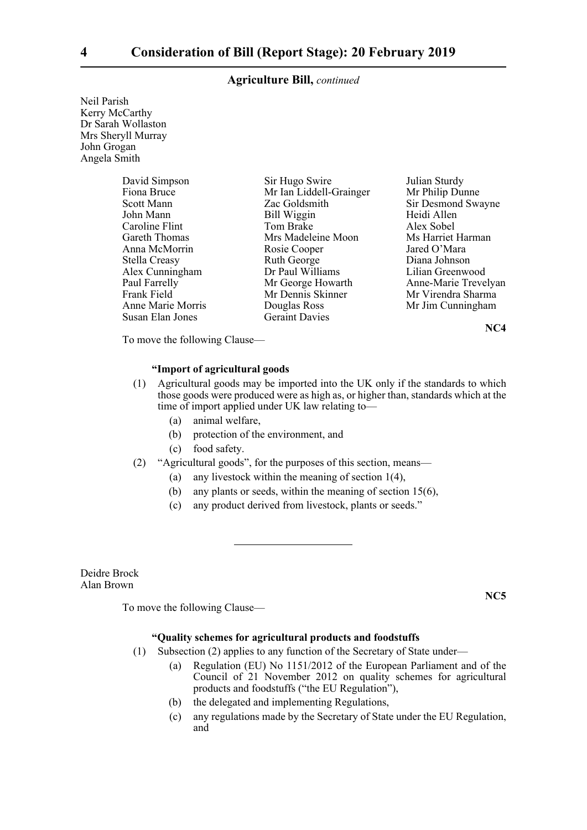Neil Parish Kerry McCarthy Dr Sarah Wollaston Mrs Sheryll Murray John Grogan Angela Smith

| David Simpson     | Sir Hugo Swire          | Julian Sturdy        |
|-------------------|-------------------------|----------------------|
| Fiona Bruce       | Mr Ian Liddell-Grainger | Mr Philip Dunne      |
| Scott Mann        | Zac Goldsmith           | Sir Desmond Swayne   |
| John Mann         | Bill Wiggin             | Heidi Allen          |
| Caroline Flint    | Tom Brake               | Alex Sobel           |
| Gareth Thomas     | Mrs Madeleine Moon      | Ms Harriet Harman    |
| Anna McMorrin     | Rosie Cooper            | Jared O'Mara         |
| Stella Creasy     | Ruth George             | Diana Johnson        |
| Alex Cunningham   | Dr Paul Williams        | Lilian Greenwood     |
| Paul Farrelly     | Mr George Howarth       | Anne-Marie Trevelyan |
| Frank Field       | Mr Dennis Skinner       | Mr Virendra Sharma   |
| Anne Marie Morris | Douglas Ross            | Mr Jim Cunningham    |
| Susan Elan Jones  | <b>Geraint Davies</b>   |                      |

**NC4**

To move the following Clause—

#### **"Import of agricultural goods**

- (1) Agricultural goods may be imported into the UK only if the standards to which those goods were produced were as high as, or higher than, standards which at the time of import applied under UK law relating to—
	- (a) animal welfare,
	- (b) protection of the environment, and
	- (c) food safety.

#### (2) "Agricultural goods", for the purposes of this section, means—

- (a) any livestock within the meaning of section 1(4),
- (b) any plants or seeds, within the meaning of section 15(6),
- (c) any product derived from livestock, plants or seeds."

Deidre Brock Alan Brown

**NC5**

To move the following Clause—

#### **"Quality schemes for agricultural products and foodstuffs**

- (1) Subsection (2) applies to any function of the Secretary of State under—
	- (a) Regulation (EU) No 1151/2012 of the European Parliament and of the Council of 21 November 2012 on quality schemes for agricultural products and foodstuffs ("the EU Regulation"),
	- (b) the delegated and implementing Regulations,
	- (c) any regulations made by the Secretary of State under the EU Regulation, and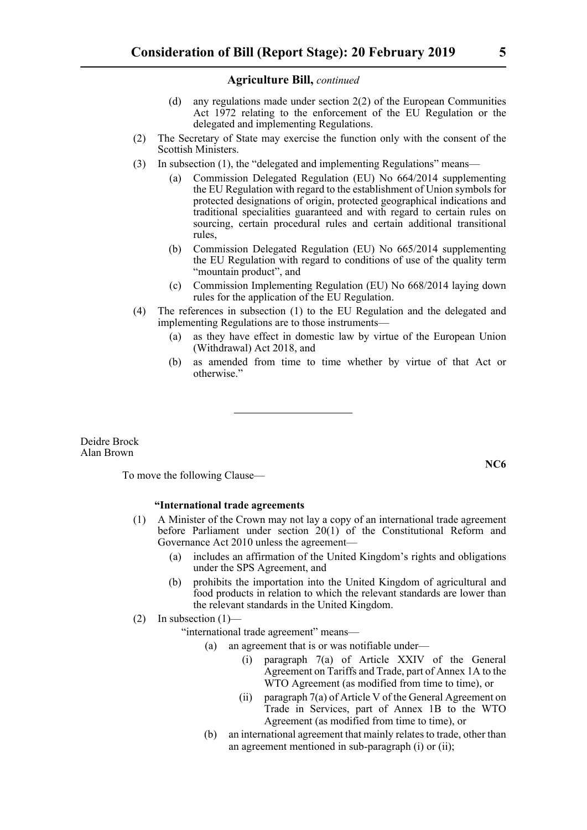- (d) any regulations made under section 2(2) of the European Communities Act 1972 relating to the enforcement of the EU Regulation or the delegated and implementing Regulations.
- (2) The Secretary of State may exercise the function only with the consent of the Scottish Ministers.
- (3) In subsection (1), the "delegated and implementing Regulations" means—
	- (a) Commission Delegated Regulation (EU) No 664/2014 supplementing the EU Regulation with regard to the establishment of Union symbols for protected designations of origin, protected geographical indications and traditional specialities guaranteed and with regard to certain rules on sourcing, certain procedural rules and certain additional transitional rules,
	- (b) Commission Delegated Regulation (EU) No 665/2014 supplementing the EU Regulation with regard to conditions of use of the quality term "mountain product", and
	- (c) Commission Implementing Regulation (EU) No 668/2014 laying down rules for the application of the EU Regulation.
- (4) The references in subsection (1) to the EU Regulation and the delegated and implementing Regulations are to those instruments—
	- (a) as they have effect in domestic law by virtue of the European Union (Withdrawal) Act 2018, and
	- (b) as amended from time to time whether by virtue of that Act or otherwise."

Deidre Brock Alan Brown

**NC6**

#### To move the following Clause—

#### **"International trade agreements**

- (1) A Minister of the Crown may not lay a copy of an international trade agreement before Parliament under section 20(1) of the Constitutional Reform and Governance Act 2010 unless the agreement—
	- (a) includes an affirmation of the United Kingdom's rights and obligations under the SPS Agreement, and
	- (b) prohibits the importation into the United Kingdom of agricultural and food products in relation to which the relevant standards are lower than the relevant standards in the United Kingdom.

#### (2) In subsection  $(1)$ –

"international trade agreement" means—

- (a) an agreement that is or was notifiable under—
	- (i) paragraph 7(a) of Article XXIV of the General Agreement on Tariffs and Trade, part of Annex 1A to the WTO Agreement (as modified from time to time), or
	- (ii) paragraph 7(a) of Article V of the General Agreement on Trade in Services, part of Annex 1B to the WTO Agreement (as modified from time to time), or
- (b) an international agreement that mainly relates to trade, other than an agreement mentioned in sub-paragraph (i) or (ii);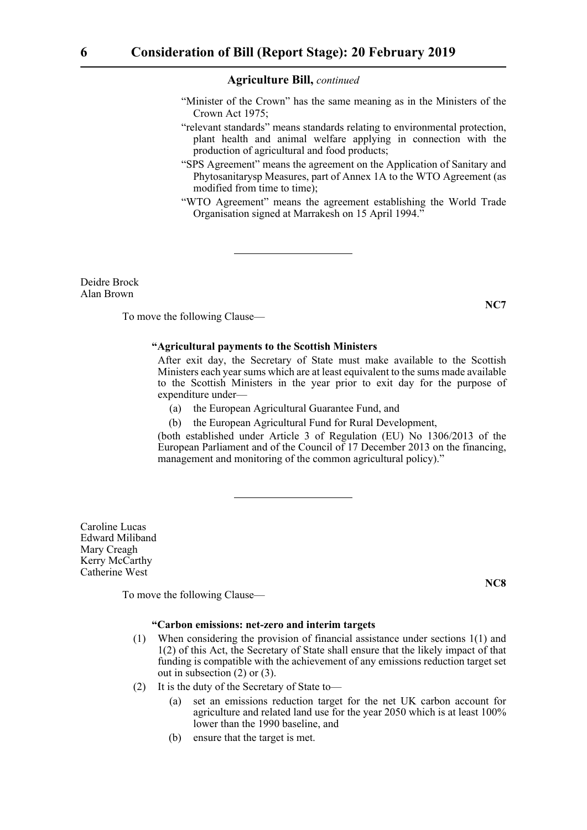- "Minister of the Crown" has the same meaning as in the Ministers of the Crown Act 1975;
- "relevant standards" means standards relating to environmental protection, plant health and animal welfare applying in connection with the production of agricultural and food products;
- "SPS Agreement" means the agreement on the Application of Sanitary and Phytosanitarysp Measures, part of Annex 1A to the WTO Agreement (as modified from time to time);
- "WTO Agreement" means the agreement establishing the World Trade Organisation signed at Marrakesh on 15 April 1994."

Deidre Brock Alan Brown

To move the following Clause—

#### **"Agricultural payments to the Scottish Ministers**

 After exit day, the Secretary of State must make available to the Scottish Ministers each year sums which are at least equivalent to the sums made available to the Scottish Ministers in the year prior to exit day for the purpose of expenditure under—

- (a) the European Agricultural Guarantee Fund, and
- (b) the European Agricultural Fund for Rural Development,

(both established under Article 3 of Regulation (EU) No 1306/2013 of the European Parliament and of the Council of 17 December 2013 on the financing, management and monitoring of the common agricultural policy)."

Caroline Lucas Edward Miliband Mary Creagh Kerry McCarthy Catherine West

To move the following Clause—

#### **"Carbon emissions: net-zero and interim targets**

- (1) When considering the provision of financial assistance under sections 1(1) and 1(2) of this Act, the Secretary of State shall ensure that the likely impact of that funding is compatible with the achievement of any emissions reduction target set out in subsection (2) or (3).
- (2) It is the duty of the Secretary of State to—
	- (a) set an emissions reduction target for the net UK carbon account for agriculture and related land use for the year 2050 which is at least 100% lower than the 1990 baseline, and
	- (b) ensure that the target is met.

**NC7**

**NC8**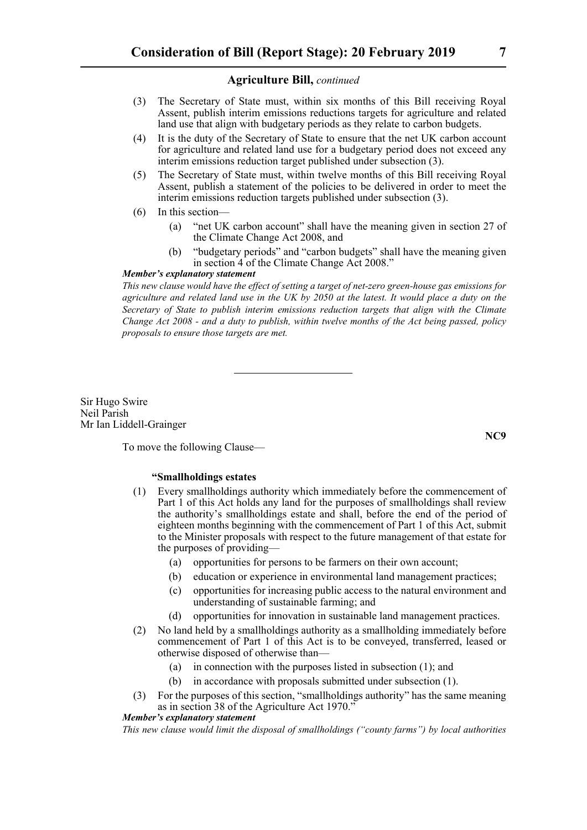- (3) The Secretary of State must, within six months of this Bill receiving Royal Assent, publish interim emissions reductions targets for agriculture and related land use that align with budgetary periods as they relate to carbon budgets.
- (4) It is the duty of the Secretary of State to ensure that the net UK carbon account for agriculture and related land use for a budgetary period does not exceed any interim emissions reduction target published under subsection (3).
- (5) The Secretary of State must, within twelve months of this Bill receiving Royal Assent, publish a statement of the policies to be delivered in order to meet the interim emissions reduction targets published under subsection (3).
- (6) In this section—
	- (a) "net UK carbon account" shall have the meaning given in section 27 of the Climate Change Act 2008, and
	- (b) "budgetary periods" and "carbon budgets" shall have the meaning given in section 4 of the Climate Change Act 2008."

#### *Member's explanatory statement*

*This new clause would have the effect of setting a target of net-zero green-house gas emissions for agriculture and related land use in the UK by 2050 at the latest. It would place a duty on the Secretary of State to publish interim emissions reduction targets that align with the Climate Change Act 2008 - and a duty to publish, within twelve months of the Act being passed, policy proposals to ensure those targets are met.*

Sir Hugo Swire Neil Parish Mr Ian Liddell-Grainger

To move the following Clause—

#### **"Smallholdings estates**

- (1) Every smallholdings authority which immediately before the commencement of Part 1 of this Act holds any land for the purposes of smallholdings shall review the authority's smallholdings estate and shall, before the end of the period of eighteen months beginning with the commencement of Part 1 of this Act, submit to the Minister proposals with respect to the future management of that estate for the purposes of providing—
	- (a) opportunities for persons to be farmers on their own account;
	- (b) education or experience in environmental land management practices;
	- (c) opportunities for increasing public access to the natural environment and understanding of sustainable farming; and
	- (d) opportunities for innovation in sustainable land management practices.
- (2) No land held by a smallholdings authority as a smallholding immediately before commencement of Part 1 of this Act is to be conveyed, transferred, leased or otherwise disposed of otherwise than—
	- (a) in connection with the purposes listed in subsection (1); and
	- (b) in accordance with proposals submitted under subsection (1).
- (3) For the purposes of this section, "smallholdings authority" has the same meaning as in section 38 of the Agriculture Act 1970."

#### *Member's explanatory statement*

*This new clause would limit the disposal of smallholdings ("county farms") by local authorities*

**NC9**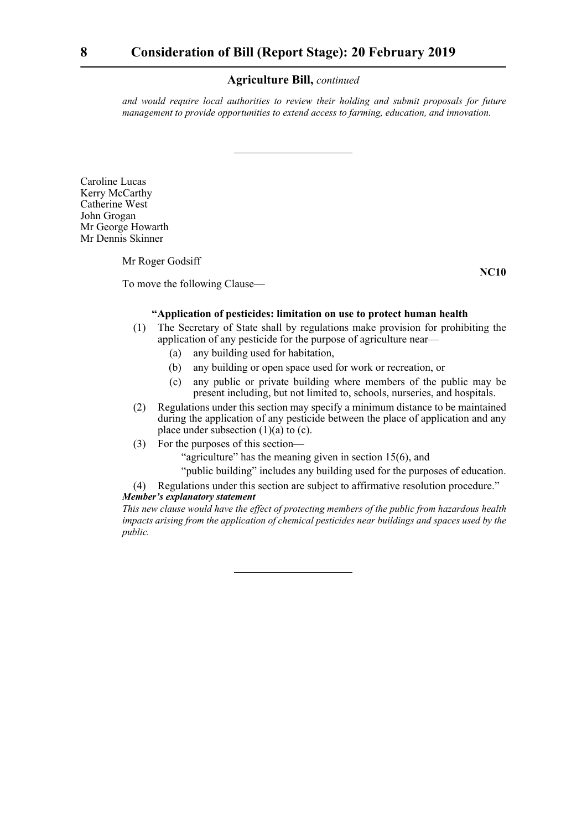*and would require local authorities to review their holding and submit proposals for future management to provide opportunities to extend access to farming, education, and innovation.*

Caroline Lucas Kerry McCarthy Catherine West John Grogan Mr George Howarth Mr Dennis Skinner

Mr Roger Godsiff

To move the following Clause—

**NC10**

#### **"Application of pesticides: limitation on use to protect human health**

- (1) The Secretary of State shall by regulations make provision for prohibiting the application of any pesticide for the purpose of agriculture near—
	- (a) any building used for habitation,
	- (b) any building or open space used for work or recreation, or
	- (c) any public or private building where members of the public may be present including, but not limited to, schools, nurseries, and hospitals.
- (2) Regulations under this section may specify a minimum distance to be maintained during the application of any pesticide between the place of application and any place under subsection  $(1)(a)$  to  $(c)$ .
- (3) For the purposes of this section—

"agriculture" has the meaning given in section  $15(6)$ , and

"public building" includes any building used for the purposes of education.

(4) Regulations under this section are subject to affirmative resolution procedure."

#### *Member's explanatory statement*

*This new clause would have the effect of protecting members of the public from hazardous health impacts arising from the application of chemical pesticides near buildings and spaces used by the public.*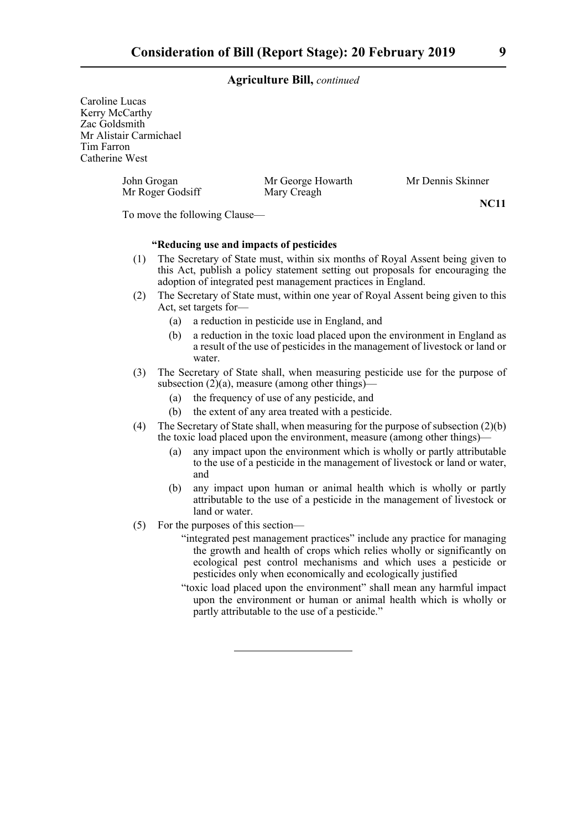Caroline Lucas Kerry McCarthy Zac Goldsmith Mr Alistair Carmichael Tim Farron Catherine West

> John Grogan Mr George Howarth Mr Dennis Skinner Mr Roger Godsiff Mary Creagh

**NC11**

To move the following Clause—

#### **"Reducing use and impacts of pesticides**

- (1) The Secretary of State must, within six months of Royal Assent being given to this Act, publish a policy statement setting out proposals for encouraging the adoption of integrated pest management practices in England.
- (2) The Secretary of State must, within one year of Royal Assent being given to this Act, set targets for—
	- (a) a reduction in pesticide use in England, and
	- (b) a reduction in the toxic load placed upon the environment in England as a result of the use of pesticides in the management of livestock or land or water.
- (3) The Secretary of State shall, when measuring pesticide use for the purpose of subsection  $(2)(a)$ , measure (among other things)—
	- (a) the frequency of use of any pesticide, and
	- (b) the extent of any area treated with a pesticide.
- (4) The Secretary of State shall, when measuring for the purpose of subsection (2)(b) the toxic load placed upon the environment, measure (among other things)—
	- (a) any impact upon the environment which is wholly or partly attributable to the use of a pesticide in the management of livestock or land or water, and
	- (b) any impact upon human or animal health which is wholly or partly attributable to the use of a pesticide in the management of livestock or land or water.
- (5) For the purposes of this section—
	- "integrated pest management practices" include any practice for managing the growth and health of crops which relies wholly or significantly on ecological pest control mechanisms and which uses a pesticide or pesticides only when economically and ecologically justified
	- "toxic load placed upon the environment" shall mean any harmful impact upon the environment or human or animal health which is wholly or partly attributable to the use of a pesticide."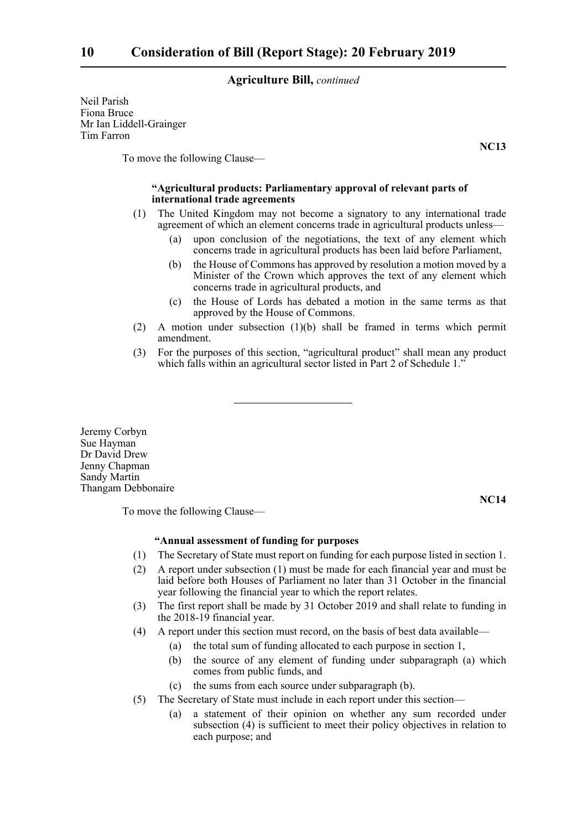Neil Parish Fiona Bruce Mr Ian Liddell-Grainger Tim Farron

**NC13**

To move the following Clause—

#### **"Agricultural products: Parliamentary approval of relevant parts of international trade agreements**

- (1) The United Kingdom may not become a signatory to any international trade agreement of which an element concerns trade in agricultural products unless—
	- (a) upon conclusion of the negotiations, the text of any element which concerns trade in agricultural products has been laid before Parliament,
	- (b) the House of Commons has approved by resolution a motion moved by a Minister of the Crown which approves the text of any element which concerns trade in agricultural products, and
	- (c) the House of Lords has debated a motion in the same terms as that approved by the House of Commons.
- (2) A motion under subsection (1)(b) shall be framed in terms which permit amendment.
- (3) For the purposes of this section, "agricultural product" shall mean any product which falls within an agricultural sector listed in Part 2 of Schedule 1."

Jeremy Corbyn Sue Hayman Dr David Drew Jenny Chapman Sandy Martin Thangam Debbonaire

To move the following Clause—

**NC14**

#### **"Annual assessment of funding for purposes**

- (1) The Secretary of State must report on funding for each purpose listed in section 1.
- (2) A report under subsection (1) must be made for each financial year and must be laid before both Houses of Parliament no later than 31 October in the financial year following the financial year to which the report relates.
- (3) The first report shall be made by 31 October 2019 and shall relate to funding in the 2018-19 financial year.
- (4) A report under this section must record, on the basis of best data available—
	- (a) the total sum of funding allocated to each purpose in section 1,
	- (b) the source of any element of funding under subparagraph (a) which comes from public funds, and
	- (c) the sums from each source under subparagraph (b).
- (5) The Secretary of State must include in each report under this section—
	- (a) a statement of their opinion on whether any sum recorded under subsection (4) is sufficient to meet their policy objectives in relation to each purpose; and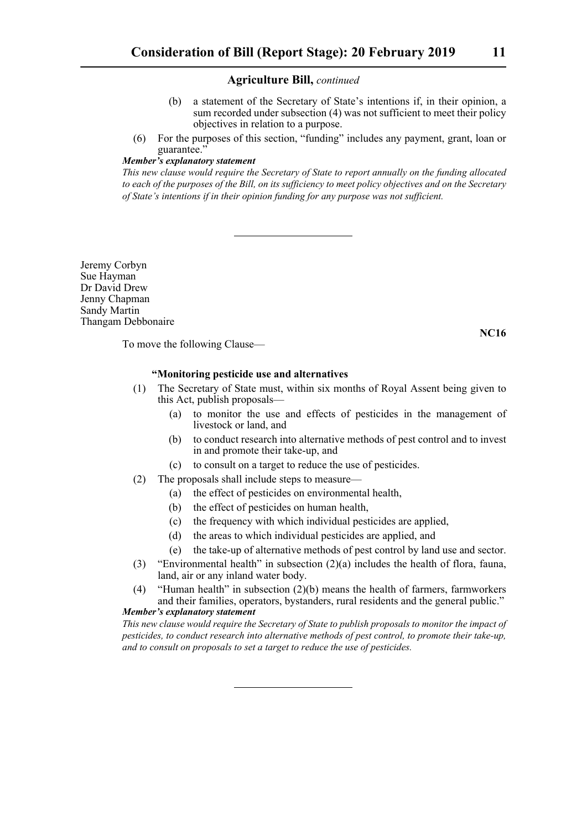- (b) a statement of the Secretary of State's intentions if, in their opinion, a sum recorded under subsection (4) was not sufficient to meet their policy objectives in relation to a purpose.
- (6) For the purposes of this section, "funding" includes any payment, grant, loan or guarantee."

#### *Member's explanatory statement*

*This new clause would require the Secretary of State to report annually on the funding allocated to each of the purposes of the Bill, on its sufficiency to meet policy objectives and on the Secretary of State's intentions if in their opinion funding for any purpose was not sufficient.*

Jeremy Corbyn Sue Hayman Dr David Drew Jenny Chapman Sandy Martin Thangam Debbonaire

To move the following Clause—

#### **"Monitoring pesticide use and alternatives**

- (1) The Secretary of State must, within six months of Royal Assent being given to this Act, publish proposals—
	- (a) to monitor the use and effects of pesticides in the management of livestock or land, and
	- (b) to conduct research into alternative methods of pest control and to invest in and promote their take-up, and
	- (c) to consult on a target to reduce the use of pesticides.
- (2) The proposals shall include steps to measure—
	- (a) the effect of pesticides on environmental health,
	- (b) the effect of pesticides on human health,
	- (c) the frequency with which individual pesticides are applied,
	- (d) the areas to which individual pesticides are applied, and
	- (e) the take-up of alternative methods of pest control by land use and sector.
- (3) "Environmental health" in subsection (2)(a) includes the health of flora, fauna, land, air or any inland water body.
- (4) "Human health" in subsection (2)(b) means the health of farmers, farmworkers and their families, operators, bystanders, rural residents and the general public." *Member's explanatory statement*

*This new clause would require the Secretary of State to publish proposals to monitor the impact of pesticides, to conduct research into alternative methods of pest control, to promote their take-up, and to consult on proposals to set a target to reduce the use of pesticides.*

**NC16**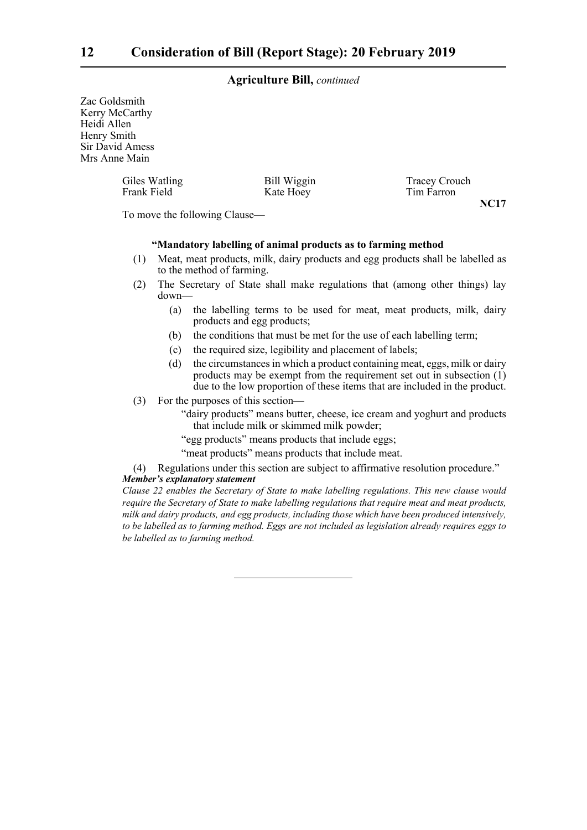Zac Goldsmith Kerry McCarthy Heidi Allen Henry Smith Sir David Amess Mrs Anne Main

> Giles Watling Bill Wiggin Tracey Crouch<br>
> Frank Field Kate Hoey Tim Farron Kate Hoey **NC17**

To move the following Clause—

#### **"Mandatory labelling of animal products as to farming method**

- (1) Meat, meat products, milk, dairy products and egg products shall be labelled as to the method of farming.
- (2) The Secretary of State shall make regulations that (among other things) lay down—
	- (a) the labelling terms to be used for meat, meat products, milk, dairy products and egg products;
	- (b) the conditions that must be met for the use of each labelling term;
	- (c) the required size, legibility and placement of labels;
	- (d) the circumstances in which a product containing meat, eggs, milk or dairy products may be exempt from the requirement set out in subsection  $(i)$ due to the low proportion of these items that are included in the product.
- (3) For the purposes of this section—
	- "dairy products" means butter, cheese, ice cream and yoghurt and products that include milk or skimmed milk powder;
	- "egg products" means products that include eggs;
	- "meat products" means products that include meat.

(4) Regulations under this section are subject to affirmative resolution procedure."

#### *Member's explanatory statement*

*Clause 22 enables the Secretary of State to make labelling regulations. This new clause would require the Secretary of State to make labelling regulations that require meat and meat products, milk and dairy products, and egg products, including those which have been produced intensively, to be labelled as to farming method. Eggs are not included as legislation already requires eggs to be labelled as to farming method.*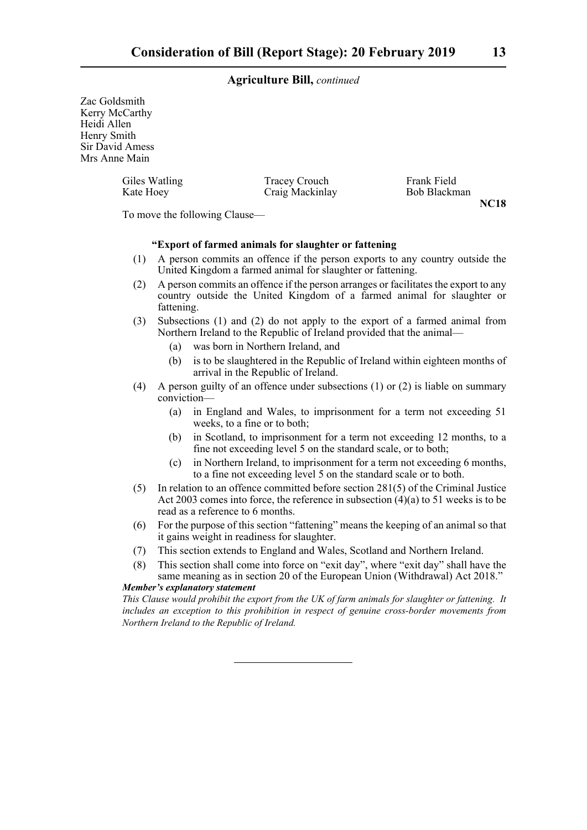Zac Goldsmith Kerry McCarthy Heidi Allen Henry Smith Sir David Amess Mrs Anne Main

| Giles Watling | Tracey Crouch   | Frank Field  |
|---------------|-----------------|--------------|
| Kate Hoey     | Craig Mackinlay | Bob Blackman |

**NC18**

To move the following Clause—

#### **"Export of farmed animals for slaughter or fattening**

- (1) A person commits an offence if the person exports to any country outside the United Kingdom a farmed animal for slaughter or fattening.
- (2) A person commits an offence if the person arranges or facilitates the export to any country outside the United Kingdom of a farmed animal for slaughter or fattening.
- (3) Subsections (1) and (2) do not apply to the export of a farmed animal from Northern Ireland to the Republic of Ireland provided that the animal—
	- (a) was born in Northern Ireland, and
	- (b) is to be slaughtered in the Republic of Ireland within eighteen months of arrival in the Republic of Ireland.
- (4) A person guilty of an offence under subsections (1) or (2) is liable on summary conviction—
	- (a) in England and Wales, to imprisonment for a term not exceeding 51 weeks, to a fine or to both;
	- (b) in Scotland, to imprisonment for a term not exceeding 12 months, to a fine not exceeding level 5 on the standard scale, or to both;
	- (c) in Northern Ireland, to imprisonment for a term not exceeding 6 months, to a fine not exceeding level 5 on the standard scale or to both.
- (5) In relation to an offence committed before section 281(5) of the Criminal Justice Act 2003 comes into force, the reference in subsection (4)(a) to 51 weeks is to be read as a reference to 6 months.
- (6) For the purpose of this section "fattening" means the keeping of an animal so that it gains weight in readiness for slaughter.
- (7) This section extends to England and Wales, Scotland and Northern Ireland.
- (8) This section shall come into force on "exit day", where "exit day" shall have the same meaning as in section 20 of the European Union (Withdrawal) Act 2018."

#### *Member's explanatory statement*

*This Clause would prohibit the export from the UK of farm animals for slaughter or fattening. It includes an exception to this prohibition in respect of genuine cross-border movements from Northern Ireland to the Republic of Ireland.*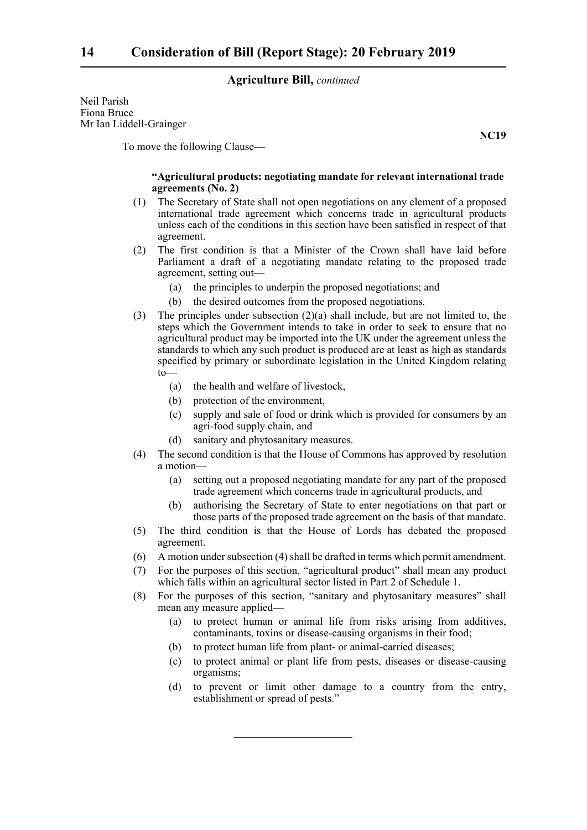Neil Parish Fiona Bruce Mr Ian Liddell-Grainger

To move the following Clause—

#### **"Agricultural products: negotiating mandate for relevant international trade agreements (No. 2)**

- (1) The Secretary of State shall not open negotiations on any element of a proposed international trade agreement which concerns trade in agricultural products unless each of the conditions in this section have been satisfied in respect of that agreement.
- (2) The first condition is that a Minister of the Crown shall have laid before Parliament a draft of a negotiating mandate relating to the proposed trade agreement, setting out—
	- (a) the principles to underpin the proposed negotiations; and
	- (b) the desired outcomes from the proposed negotiations.
- (3) The principles under subsection  $(2)(a)$  shall include, but are not limited to, the steps which the Government intends to take in order to seek to ensure that no agricultural product may be imported into the UK under the agreement unless the standards to which any such product is produced are at least as high as standards specified by primary or subordinate legislation in the United Kingdom relating  $to$ —
	- (a) the health and welfare of livestock,
	- (b) protection of the environment,
	- (c) supply and sale of food or drink which is provided for consumers by an agri-food supply chain, and
	- (d) sanitary and phytosanitary measures.
- (4) The second condition is that the House of Commons has approved by resolution a motion—
	- (a) setting out a proposed negotiating mandate for any part of the proposed trade agreement which concerns trade in agricultural products, and
	- (b) authorising the Secretary of State to enter negotiations on that part or those parts of the proposed trade agreement on the basis of that mandate.
- (5) The third condition is that the House of Lords has debated the proposed agreement.
- (6) A motion under subsection (4) shall be drafted in terms which permit amendment.
- (7) For the purposes of this section, "agricultural product" shall mean any product which falls within an agricultural sector listed in Part 2 of Schedule 1.
- (8) For the purposes of this section, "sanitary and phytosanitary measures" shall mean any measure applied—
	- (a) to protect human or animal life from risks arising from additives, contaminants, toxins or disease-causing organisms in their food;
	- (b) to protect human life from plant- or animal-carried diseases;
	- (c) to protect animal or plant life from pests, diseases or disease-causing organisms;
	- (d) to prevent or limit other damage to a country from the entry, establishment or spread of pests."

**NC19**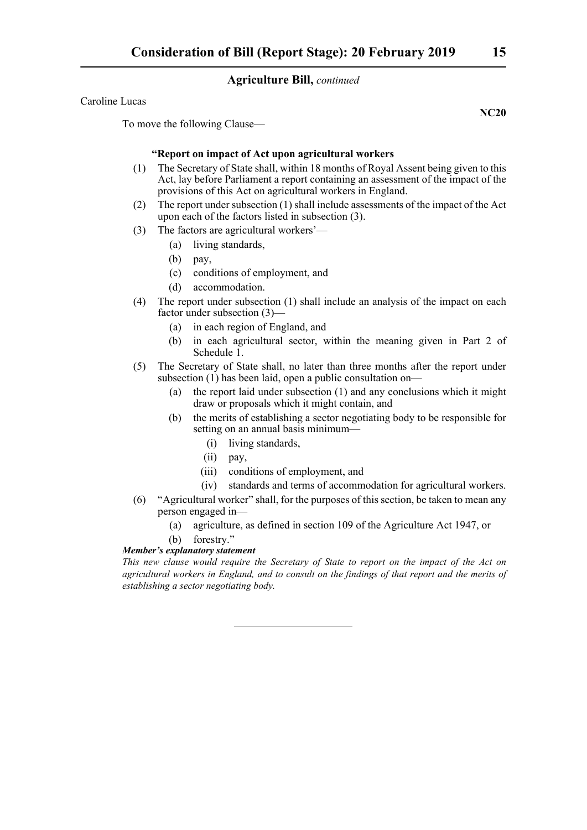Caroline Lucas

To move the following Clause—

#### **"Report on impact of Act upon agricultural workers**

- (1) The Secretary of State shall, within 18 months of Royal Assent being given to this Act, lay before Parliament a report containing an assessment of the impact of the provisions of this Act on agricultural workers in England.
- (2) The report under subsection (1) shall include assessments of the impact of the Act upon each of the factors listed in subsection (3).
- (3) The factors are agricultural workers'—
	- (a) living standards,
	- (b) pay,
	- (c) conditions of employment, and
	- (d) accommodation.
- (4) The report under subsection (1) shall include an analysis of the impact on each factor under subsection (3)—
	- (a) in each region of England, and
	- (b) in each agricultural sector, within the meaning given in Part 2 of Schedule 1.
- (5) The Secretary of State shall, no later than three months after the report under subsection (1) has been laid, open a public consultation on—
	- (a) the report laid under subsection (1) and any conclusions which it might draw or proposals which it might contain, and
	- (b) the merits of establishing a sector negotiating body to be responsible for setting on an annual basis minimum—
		- (i) living standards,
		- (ii) pay,
		- (iii) conditions of employment, and
		- (iv) standards and terms of accommodation for agricultural workers.
- (6) "Agricultural worker" shall, for the purposes of this section, be taken to mean any person engaged in—
	- (a) agriculture, as defined in section 109 of the Agriculture Act 1947, or
	- (b) forestry."

#### *Member's explanatory statement*

*This new clause would require the Secretary of State to report on the impact of the Act on agricultural workers in England, and to consult on the findings of that report and the merits of establishing a sector negotiating body.*

**NC20**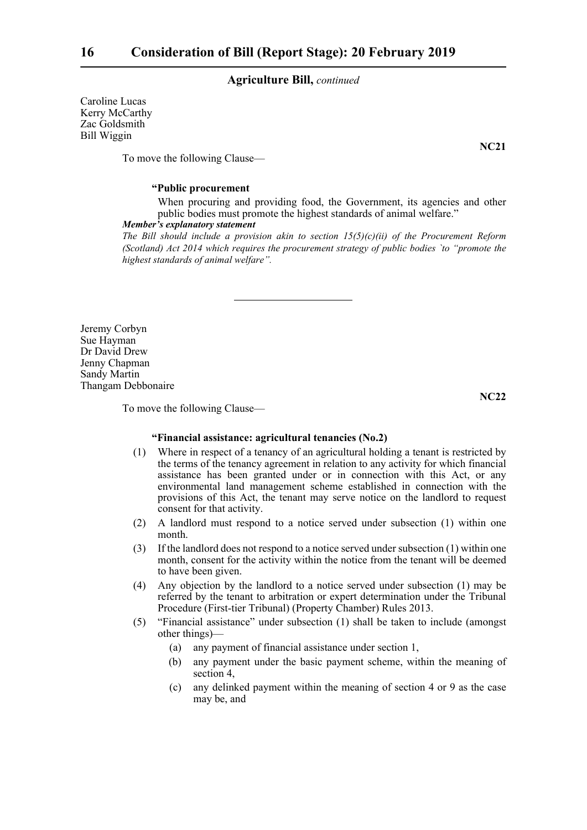Caroline Lucas Kerry McCarthy Zac Goldsmith Bill Wiggin

**NC21**

To move the following Clause—

#### **"Public procurement**

When procuring and providing food, the Government, its agencies and other public bodies must promote the highest standards of animal welfare."

#### *Member's explanatory statement*

*The Bill should include a provision akin to section 15(5)(c)(ii) of the Procurement Reform (Scotland) Act 2014 which requires the procurement strategy of public bodies `to "promote the highest standards of animal welfare".*

Jeremy Corbyn Sue Hayman Dr David Drew Jenny Chapman Sandy Martin Thangam Debbonaire

**NC22**

To move the following Clause—

#### **"Financial assistance: agricultural tenancies (No.2)**

- (1) Where in respect of a tenancy of an agricultural holding a tenant is restricted by the terms of the tenancy agreement in relation to any activity for which financial assistance has been granted under or in connection with this Act, or any environmental land management scheme established in connection with the provisions of this Act, the tenant may serve notice on the landlord to request consent for that activity.
- (2) A landlord must respond to a notice served under subsection (1) within one month.
- (3) If the landlord does not respond to a notice served under subsection (1) within one month, consent for the activity within the notice from the tenant will be deemed to have been given.
- (4) Any objection by the landlord to a notice served under subsection (1) may be referred by the tenant to arbitration or expert determination under the Tribunal Procedure (First-tier Tribunal) (Property Chamber) Rules 2013.
- (5) "Financial assistance" under subsection (1) shall be taken to include (amongst other things)—
	- (a) any payment of financial assistance under section 1,
	- (b) any payment under the basic payment scheme, within the meaning of section 4,
	- (c) any delinked payment within the meaning of section 4 or 9 as the case may be, and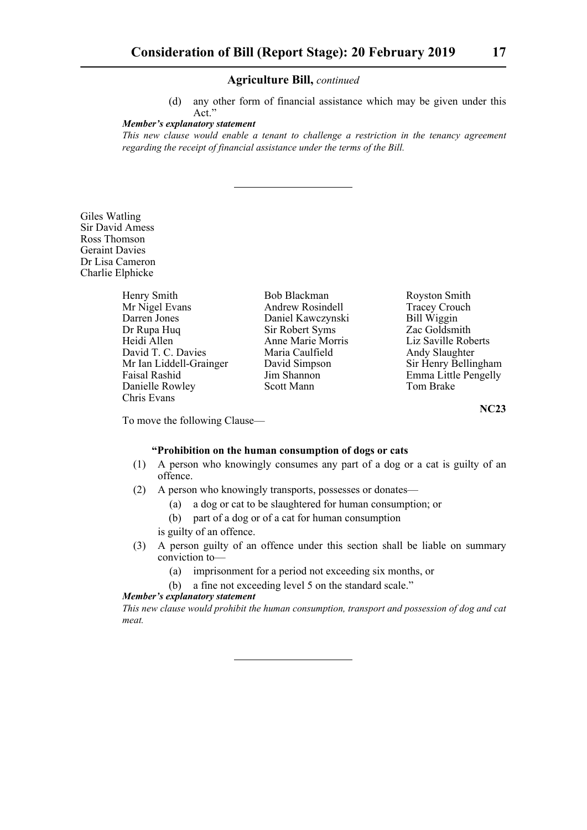(d) any other form of financial assistance which may be given under this Act."

*Member's explanatory statement* 

*This new clause would enable a tenant to challenge a restriction in the tenancy agreement regarding the receipt of financial assistance under the terms of the Bill.*

Giles Watling Sir David Amess Ross Thomson Geraint Davies Dr Lisa Cameron Charlie Elphicke

| Henry Smith             | Bob Blackman      | Royston Sr  |
|-------------------------|-------------------|-------------|
| Mr Nigel Evans          | Andrew Rosindell  | Tracey Cro  |
| Darren Jones            | Daniel Kawczynski | Bill Wiggin |
| Dr Rupa Huq             | Sir Robert Syms   | Zac Goldsr  |
| Heidi Allen             | Anne Marie Morris | Liz Saville |
| David T. C. Davies      | Maria Caulfield   | Andy Slaug  |
| Mr Ian Liddell-Grainger | David Simpson     | Sir Henry I |
| Faisal Rashid           | Jim Shannon       | Emma Littl  |
| Danielle Rowley         | Scott Mann        | Tom Brake   |
| Chris Evans             |                   |             |

vston Smith icey Crouch l Wiggin  $\circ$  Goldsmith Saville Roberts dy Slaughter Henry Bellingham ma Little Pengelly

**NC23**

To move the following Clause—

#### **"Prohibition on the human consumption of dogs or cats**

- (1) A person who knowingly consumes any part of a dog or a cat is guilty of an offence.
- (2) A person who knowingly transports, possesses or donates—
	- (a) a dog or cat to be slaughtered for human consumption; or
	- (b) part of a dog or of a cat for human consumption
	- is guilty of an offence.
- (3) A person guilty of an offence under this section shall be liable on summary conviction to—
	- (a) imprisonment for a period not exceeding six months, or
	- (b) a fine not exceeding level 5 on the standard scale."

#### *Member's explanatory statement*

*This new clause would prohibit the human consumption, transport and possession of dog and cat meat.*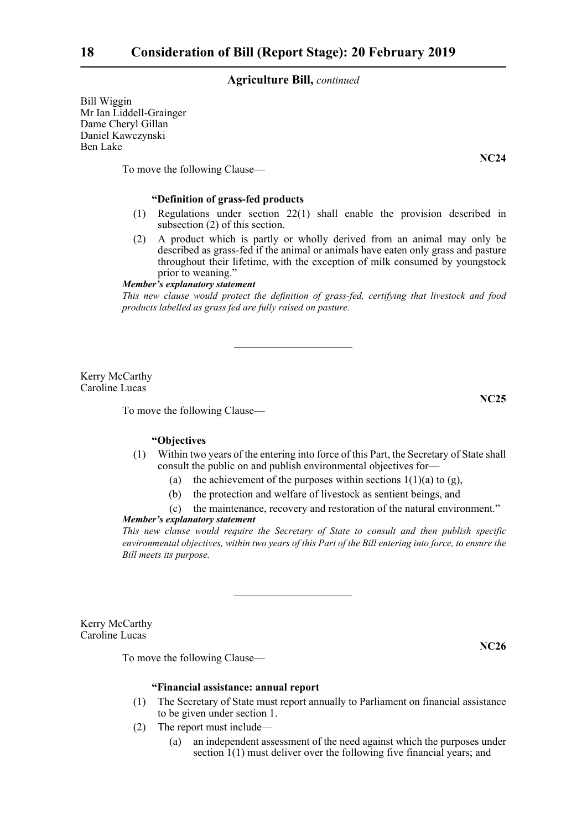Bill Wiggin Mr Ian Liddell-Grainger Dame Cheryl Gillan Daniel Kawczynski Ben Lake

To move the following Clause—

#### **"Definition of grass-fed products**

- (1) Regulations under section 22(1) shall enable the provision described in subsection (2) of this section.
- (2) A product which is partly or wholly derived from an animal may only be described as grass-fed if the animal or animals have eaten only grass and pasture throughout their lifetime, with the exception of milk consumed by youngstock prior to weaning."

#### *Member's explanatory statement*

*This new clause would protect the definition of grass-fed, certifying that livestock and food products labelled as grass fed are fully raised on pasture.*

Kerry McCarthy Caroline Lucas

To move the following Clause—

#### **"Objectives**

- (1) Within two years of the entering into force of this Part, the Secretary of State shall consult the public on and publish environmental objectives for—
	- (a) the achievement of the purposes within sections  $1(1)(a)$  to  $(g)$ ,
	- (b) the protection and welfare of livestock as sentient beings, and
	- (c) the maintenance, recovery and restoration of the natural environment."

#### *Member's explanatory statement*

*This new clause would require the Secretary of State to consult and then publish specific environmental objectives, within two years of this Part of the Bill entering into force, to ensure the Bill meets its purpose.*

Kerry McCarthy Caroline Lucas

To move the following Clause—

#### **"Financial assistance: annual report**

- (1) The Secretary of State must report annually to Parliament on financial assistance to be given under section 1.
- (2) The report must include—
	- (a) an independent assessment of the need against which the purposes under section 1(1) must deliver over the following five financial years; and

**NC24**

**NC25**

**NC26**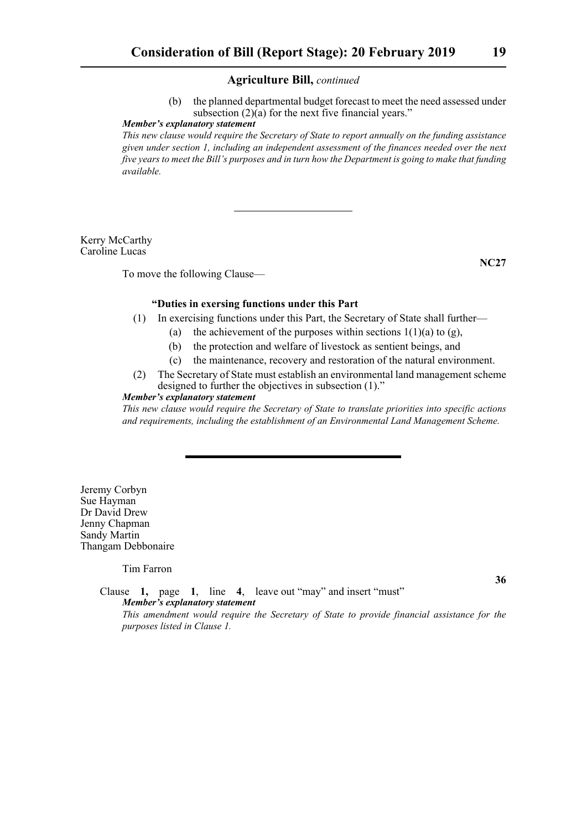(b) the planned departmental budget forecast to meet the need assessed under subsection  $(2)(a)$  for the next five financial years."

#### *Member's explanatory statement*

*This new clause would require the Secretary of State to report annually on the funding assistance given under section 1, including an independent assessment of the finances needed over the next five years to meet the Bill's purposes and in turn how the Department is going to make that funding available.*

Kerry McCarthy Caroline Lucas

To move the following Clause—

**NC27**

#### **"Duties in exersing functions under this Part**

- (1) In exercising functions under this Part, the Secretary of State shall further—
	- (a) the achievement of the purposes within sections  $1(1)(a)$  to (g),
	- (b) the protection and welfare of livestock as sentient beings, and
	- (c) the maintenance, recovery and restoration of the natural environment.
- (2) The Secretary of State must establish an environmental land management scheme designed to further the objectives in subsection (1)."

#### *Member's explanatory statement*

*This new clause would require the Secretary of State to translate priorities into specific actions and requirements, including the establishment of an Environmental Land Management Scheme.*

Jeremy Corbyn Sue Hayman Dr David Drew Jenny Chapman Sandy Martin Thangam Debbonaire

Tim Farron

**36**

Clause **1,** page **1**, line **4**, leave out "may" and insert "must" *Member's explanatory statement This amendment would require the Secretary of State to provide financial assistance for the purposes listed in Clause 1.*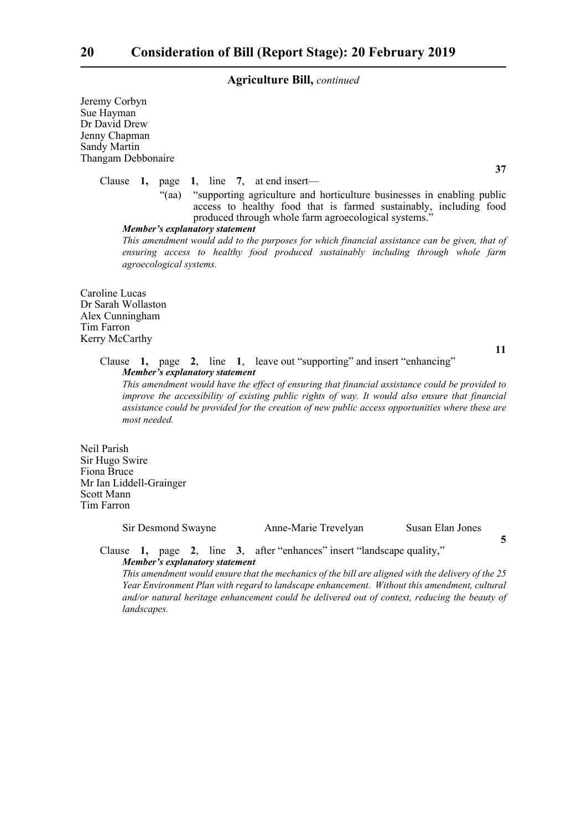Jeremy Corbyn Sue Hayman Dr David Drew Jenny Chapman Sandy Martin Thangam Debbonaire

Clause **1,** page **1**, line **7**, at end insert—

"(aa) "supporting agriculture and horticulture businesses in enabling public access to healthy food that is farmed sustainably, including food produced through whole farm agroecological systems.'

*Member's explanatory statement* 

*This amendment would add to the purposes for which financial assistance can be given, that of ensuring access to healthy food produced sustainably including through whole farm agroecological systems.*

Caroline Lucas Dr Sarah Wollaston Alex Cunningham Tim Farron Kerry McCarthy

**11**

**5**

**37**

### Clause **1,** page **2**, line **1**, leave out "supporting" and insert "enhancing" *Member's explanatory statement*

*This amendment would have the effect of ensuring that financial assistance could be provided to improve the accessibility of existing public rights of way. It would also ensure that financial assistance could be provided for the creation of new public access opportunities where these are most needed.*

Neil Parish Sir Hugo Swire Fiona Bruce Mr Ian Liddell-Grainger Scott Mann Tim Farron

Sir Desmond Swayne Anne-Marie Trevelyan Susan Elan Jones

Clause **1,** page **2**, line **3**, after "enhances" insert "landscape quality," *Member's explanatory statement* 

*This amendment would ensure that the mechanics of the bill are aligned with the delivery of the 25 Year Environment Plan with regard to landscape enhancement. Without this amendment, cultural and/or natural heritage enhancement could be delivered out of context, reducing the beauty of landscapes.*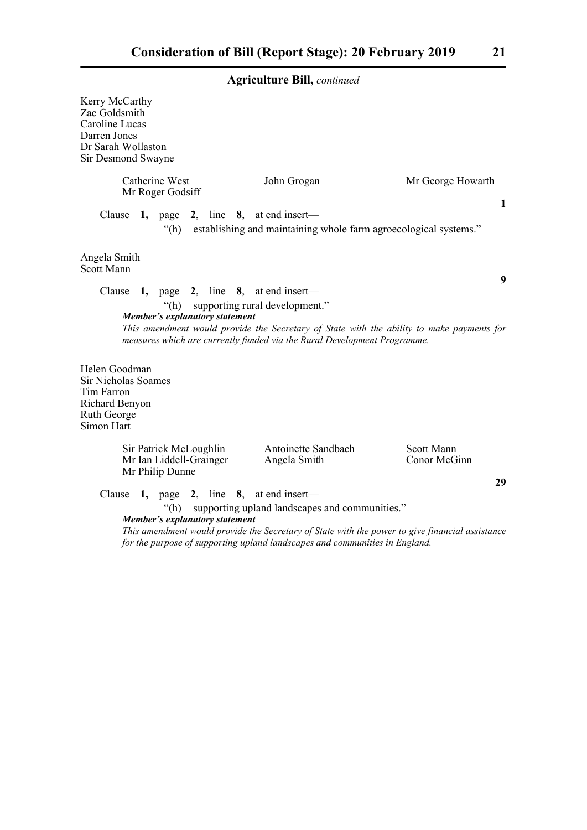| Kerry McCarthy<br>Zac Goldsmith<br>Caroline Lucas<br>Darren Jones<br>Dr Sarah Wollaston<br>Sir Desmond Swayne |                                                                                                                                                                                                                                                                   |                            |
|---------------------------------------------------------------------------------------------------------------|-------------------------------------------------------------------------------------------------------------------------------------------------------------------------------------------------------------------------------------------------------------------|----------------------------|
| Catherine West<br>Mr Roger Godsiff                                                                            | John Grogan                                                                                                                                                                                                                                                       | Mr George Howarth          |
| 1, page 2, line 8, at end insert—<br>Clause                                                                   | "(h) establishing and maintaining whole farm agroecological systems."                                                                                                                                                                                             | $\mathbf{1}$               |
| Angela Smith<br><b>Scott Mann</b>                                                                             |                                                                                                                                                                                                                                                                   | 9                          |
| Clause 1, page 2, line 8, at end insert—<br>Member's explanatory statement                                    | "(h) supporting rural development."<br>This amendment would provide the Secretary of State with the ability to make payments for<br>measures which are currently funded via the Rural Development Programme.                                                      |                            |
| Helen Goodman<br><b>Sir Nicholas Soames</b><br>Tim Farron<br>Richard Benyon<br>Ruth George<br>Simon Hart      |                                                                                                                                                                                                                                                                   |                            |
| Sir Patrick McLoughlin<br>Mr Ian Liddell-Grainger<br>Mr Philip Dunne                                          | Antoinette Sandbach<br>Angela Smith                                                                                                                                                                                                                               | Scott Mann<br>Conor McGinn |
| Clause $1$ , page $2$ ,<br>"(h)<br>Member's explanatory statement                                             | line $\,8, \,$ at end insert—<br>supporting upland landscapes and communities."<br>This amendment would provide the Secretary of State with the power to give financial assistance<br>for the purpose of supporting upland landscapes and communities in England. | 29                         |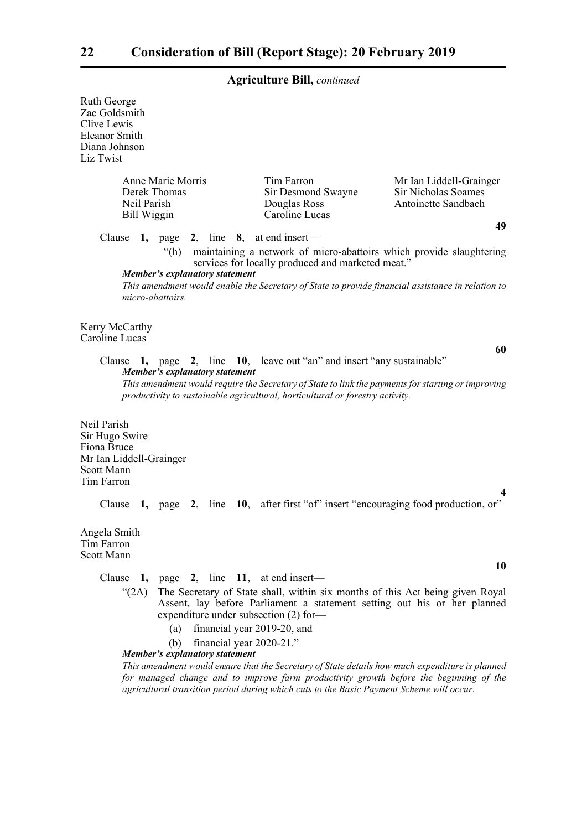Ruth George Zac Goldsmith Clive Lewis Eleanor Smith Diana Johnson Liz Twist

| Anne Marie Morris<br>Derek Thomas<br>Neil Parish-<br>Bill Wiggin | Tim Farron<br>Sir Desmond Swayne<br>Douglas Ross<br>Caroline Lucas | Mr Ian Liddell-Grainger<br>Sir Nicholas Soames<br>Antoinette Sandbach |
|------------------------------------------------------------------|--------------------------------------------------------------------|-----------------------------------------------------------------------|
|                                                                  |                                                                    | 49                                                                    |

Clause **1,** page **2**, line **8**, at end insert—

"(h) maintaining a network of micro-abattoirs which provide slaughtering services for locally produced and marketed meat."

#### *Member's explanatory statement*

*This amendment would enable the Secretary of State to provide financial assistance in relation to micro-abattoirs.*

Kerry McCarthy Caroline Lucas

**60**

**4**

**10**

#### Clause **1,** page **2**, line **10**, leave out "an" and insert "any sustainable" *Member's explanatory statement*

*This amendment would require the Secretary of State to link the payments for starting or improving productivity to sustainable agricultural, horticultural or forestry activity.*

Neil Parish Sir Hugo Swire Fiona Bruce Mr Ian Liddell-Grainger Scott Mann Tim Farron

Clause **1,** page **2**, line **10**, after first "of" insert "encouraging food production, or"

Angela Smith Tim Farron Scott Mann

Clause **1,** page **2**, line **11**, at end insert—

- "(2A) The Secretary of State shall, within six months of this Act being given Royal Assent, lay before Parliament a statement setting out his or her planned expenditure under subsection (2) for—
	- (a) financial year 2019-20, and
	- (b) financial year 2020-21."

*Member's explanatory statement* 

*This amendment would ensure that the Secretary of State details how much expenditure is planned for managed change and to improve farm productivity growth before the beginning of the agricultural transition period during which cuts to the Basic Payment Scheme will occur.*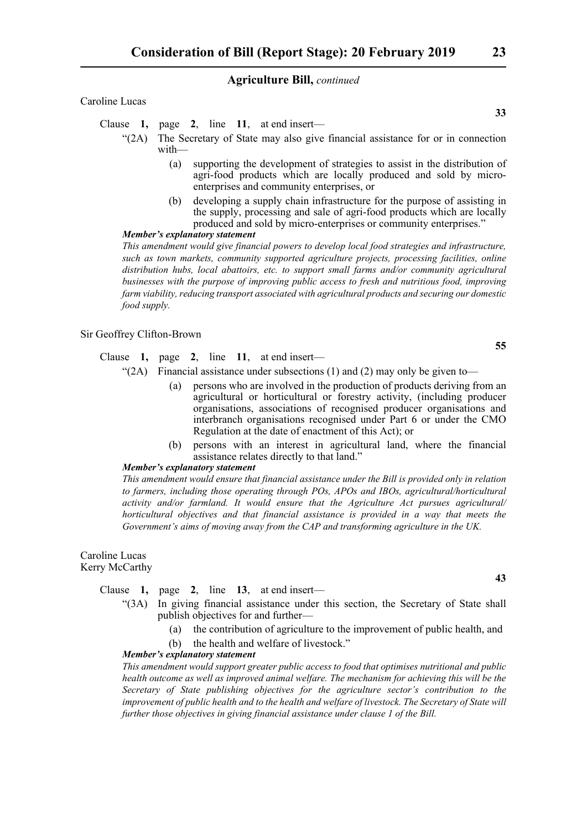Caroline Lucas

Clause **1,** page **2**, line **11**, at end insert—

- "(2A) The Secretary of State may also give financial assistance for or in connection with—
	- (a) supporting the development of strategies to assist in the distribution of agri-food products which are locally produced and sold by microenterprises and community enterprises, or
	- (b) developing a supply chain infrastructure for the purpose of assisting in the supply, processing and sale of agri-food products which are locally produced and sold by micro-enterprises or community enterprises."

#### *Member's explanatory statement*

*This amendment would give financial powers to develop local food strategies and infrastructure, such as town markets, community supported agriculture projects, processing facilities, online distribution hubs, local abattoirs, etc. to support small farms and/or community agricultural businesses with the purpose of improving public access to fresh and nutritious food, improving farm viability, reducing transport associated with agricultural products and securing our domestic food supply.*

Sir Geoffrey Clifton-Brown

Clause **1,** page **2**, line **11**, at end insert—

- "(2A) Financial assistance under subsections (1) and (2) may only be given to—
	- (a) persons who are involved in the production of products deriving from an agricultural or horticultural or forestry activity, (including producer organisations, associations of recognised producer organisations and interbranch organisations recognised under Part 6 or under the CMO Regulation at the date of enactment of this Act); or
	- (b) persons with an interest in agricultural land, where the financial assistance relates directly to that land."

#### *Member's explanatory statement*

*This amendment would ensure that financial assistance under the Bill is provided only in relation to farmers, including those operating through POs, APOs and IBOs, agricultural/horticultural activity and/or farmland. It would ensure that the Agriculture Act pursues agricultural/ horticultural objectives and that financial assistance is provided in a way that meets the Government's aims of moving away from the CAP and transforming agriculture in the UK.*

#### Caroline Lucas Kerry McCarthy

Clause **1,** page **2**, line **13**, at end insert—

- "(3A) In giving financial assistance under this section, the Secretary of State shall publish objectives for and further—
	- (a) the contribution of agriculture to the improvement of public health, and
	- (b) the health and welfare of livestock."

#### *Member's explanatory statement*

*This amendment would support greater public access to food that optimises nutritional and public health outcome as well as improved animal welfare. The mechanism for achieving this will be the Secretary of State publishing objectives for the agriculture sector's contribution to the improvement of public health and to the health and welfare of livestock. The Secretary of State will further those objectives in giving financial assistance under clause 1 of the Bill.*

**33**

**43**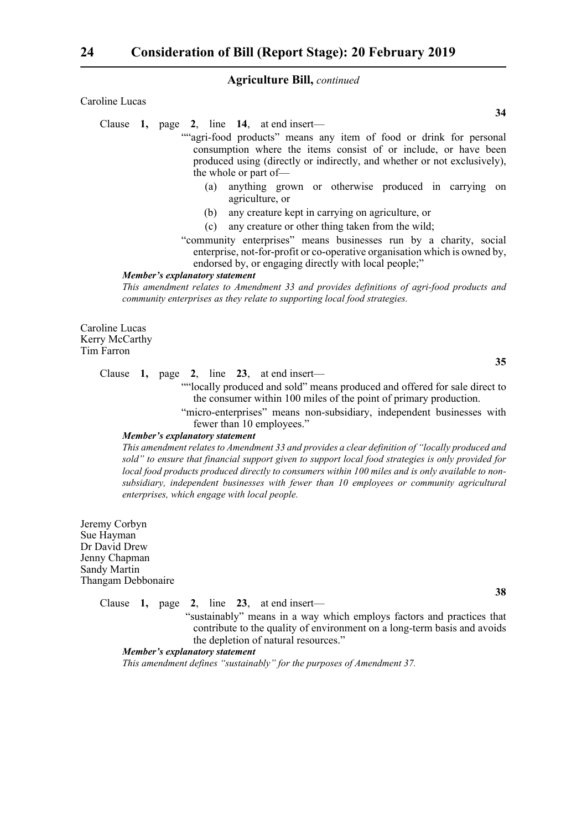#### Caroline Lucas

Clause **1,** page **2**, line **14**, at end insert—

""agri-food products" means any item of food or drink for personal consumption where the items consist of or include, or have been produced using (directly or indirectly, and whether or not exclusively), the whole or part of—

- (a) anything grown or otherwise produced in carrying on agriculture, or
- (b) any creature kept in carrying on agriculture, or
- (c) any creature or other thing taken from the wild;
- "community enterprises" means businesses run by a charity, social enterprise, not-for-profit or co-operative organisation which is owned by, endorsed by, or engaging directly with local people;"

#### *Member's explanatory statement*

*This amendment relates to Amendment 33 and provides definitions of agri-food products and community enterprises as they relate to supporting local food strategies.*

Caroline Lucas Kerry McCarthy Tim Farron

Clause **1,** page **2**, line **23**, at end insert—

""locally produced and sold" means produced and offered for sale direct to the consumer within 100 miles of the point of primary production.

"micro-enterprises" means non-subsidiary, independent businesses with fewer than 10 employees."

#### *Member's explanatory statement*

*This amendment relates to Amendment 33 and provides a clear definition of "locally produced and sold" to ensure that financial support given to support local food strategies is only provided for local food products produced directly to consumers within 100 miles and is only available to nonsubsidiary, independent businesses with fewer than 10 employees or community agricultural enterprises, which engage with local people.*

Jeremy Corbyn Sue Hayman Dr David Drew Jenny Chapman Sandy Martin Thangam Debbonaire

Clause **1,** page **2**, line **23**, at end insert—

 "sustainably" means in a way which employs factors and practices that contribute to the quality of environment on a long-term basis and avoids the depletion of natural resources."

#### *Member's explanatory statement*

*This amendment defines "sustainably" for the purposes of Amendment 37.*

**38**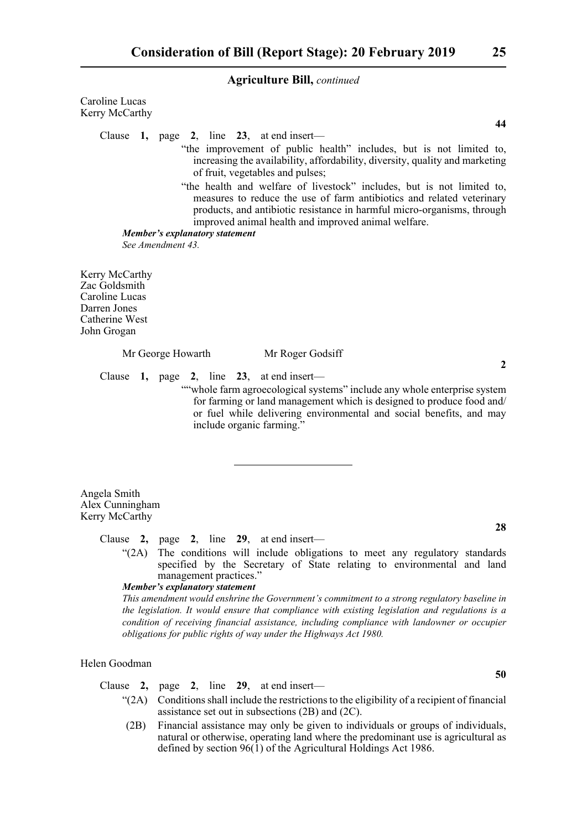Caroline Lucas Kerry McCarthy

Clause **1,** page **2**, line **23**, at end insert—

- "the improvement of public health" includes, but is not limited to, increasing the availability, affordability, diversity, quality and marketing of fruit, vegetables and pulses;
- "the health and welfare of livestock" includes, but is not limited to, measures to reduce the use of farm antibiotics and related veterinary products, and antibiotic resistance in harmful micro-organisms, through improved animal health and improved animal welfare.

*Member's explanatory statement* 

*See Amendment 43.*

Kerry McCarthy Zac Goldsmith Caroline Lucas Darren Jones Catherine West John Grogan

Mr George Howarth Mr Roger Godsiff

Clause **1,** page **2**, line **23**, at end insert—

""whole farm agroecological systems" include any whole enterprise system for farming or land management which is designed to produce food and/ or fuel while delivering environmental and social benefits, and may include organic farming."

Angela Smith Alex Cunningham Kerry McCarthy

Clause **2,** page **2**, line **29**, at end insert—

"(2A) The conditions will include obligations to meet any regulatory standards specified by the Secretary of State relating to environmental and land management practices."

*Member's explanatory statement* 

*This amendment would enshrine the Government's commitment to a strong regulatory baseline in the legislation. It would ensure that compliance with existing legislation and regulations is a condition of receiving financial assistance, including compliance with landowner or occupier obligations for public rights of way under the Highways Act 1980.* 

#### Helen Goodman

Clause **2,** page **2**, line **29**, at end insert—

- "(2A) Conditions shall include the restrictions to the eligibility of a recipient of financial assistance set out in subsections (2B) and (2C).
- (2B) Financial assistance may only be given to individuals or groups of individuals, natural or otherwise, operating land where the predominant use is agricultural as defined by section 96(1) of the Agricultural Holdings Act 1986.

**2**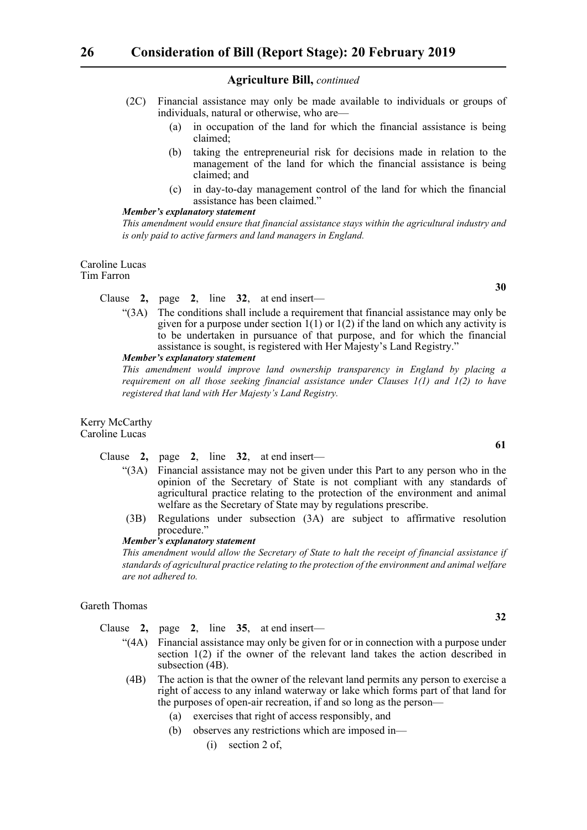- (2C) Financial assistance may only be made available to individuals or groups of individuals, natural or otherwise, who are—
	- (a) in occupation of the land for which the financial assistance is being claimed;
	- (b) taking the entrepreneurial risk for decisions made in relation to the management of the land for which the financial assistance is being claimed; and
	- (c) in day-to-day management control of the land for which the financial assistance has been claimed."

#### *Member's explanatory statement*

*This amendment would ensure that financial assistance stays within the agricultural industry and is only paid to active farmers and land managers in England.*

#### Caroline Lucas Tim Farron

#### Clause **2,** page **2**, line **32**, at end insert—

"(3A) The conditions shall include a requirement that financial assistance may only be given for a purpose under section  $1(1)$  or  $1(2)$  if the land on which any activity is to be undertaken in pursuance of that purpose, and for which the financial assistance is sought, is registered with Her Majesty's Land Registry."

#### *Member's explanatory statement*

*This amendment would improve land ownership transparency in England by placing a requirement on all those seeking financial assistance under Clauses 1(1) and 1(2) to have registered that land with Her Majesty's Land Registry.* 

#### Kerry McCarthy Caroline Lucas

- Clause **2,** page **2**, line **32**, at end insert—
	- "(3A) Financial assistance may not be given under this Part to any person who in the opinion of the Secretary of State is not compliant with any standards of agricultural practice relating to the protection of the environment and animal welfare as the Secretary of State may by regulations prescribe.
	- (3B) Regulations under subsection (3A) are subject to affirmative resolution procedure."

#### *Member's explanatory statement*

*This amendment would allow the Secretary of State to halt the receipt of financial assistance if standards of agricultural practice relating to the protection of the environment and animal welfare are not adhered to.*

#### Gareth Thomas

Clause **2,** page **2**, line **35**, at end insert—

- "(4A) Financial assistance may only be given for or in connection with a purpose under section 1(2) if the owner of the relevant land takes the action described in subsection (4B).
- (4B) The action is that the owner of the relevant land permits any person to exercise a right of access to any inland waterway or lake which forms part of that land for the purposes of open-air recreation, if and so long as the person—
	- (a) exercises that right of access responsibly, and
	- (b) observes any restrictions which are imposed in—
		- (i) section 2 of,

**30**

**61**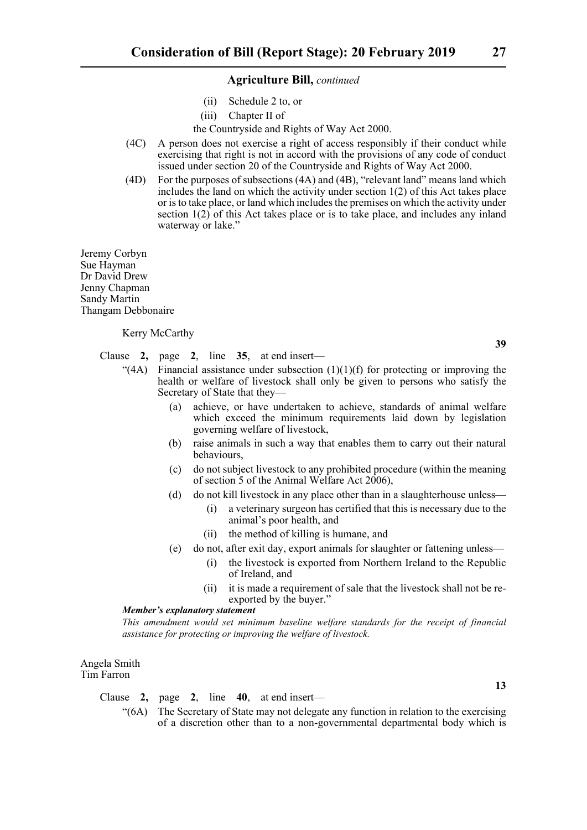- (ii) Schedule 2 to, or
- (iii) Chapter II of

the Countryside and Rights of Way Act 2000.

- (4C) A person does not exercise a right of access responsibly if their conduct while exercising that right is not in accord with the provisions of any code of conduct issued under section 20 of the Countryside and Rights of Way Act 2000.
- (4D) For the purposes of subsections (4A) and (4B), "relevant land" means land which includes the land on which the activity under section 1(2) of this Act takes place or is to take place, or land which includes the premises on which the activity under section  $1(2)$  of this Act takes place or is to take place, and includes any inland waterway or lake."

Jeremy Corbyn Sue Hayman Dr David Drew Jenny Chapman Sandy Martin Thangam Debbonaire

Kerry McCarthy

Clause **2,** page **2**, line **35**, at end insert—

- "(4A) Financial assistance under subsection  $(1)(1)(f)$  for protecting or improving the health or welfare of livestock shall only be given to persons who satisfy the Secretary of State that they—
	- (a) achieve, or have undertaken to achieve, standards of animal welfare which exceed the minimum requirements laid down by legislation governing welfare of livestock,
	- (b) raise animals in such a way that enables them to carry out their natural behaviours,
	- (c) do not subject livestock to any prohibited procedure (within the meaning of section 5 of the Animal Welfare Act 2006),
	- (d) do not kill livestock in any place other than in a slaughterhouse unless—
		- (i) a veterinary surgeon has certified that this is necessary due to the animal's poor health, and
		- (ii) the method of killing is humane, and
	- (e) do not, after exit day, export animals for slaughter or fattening unless—
		- (i) the livestock is exported from Northern Ireland to the Republic of Ireland, and
		- (ii) it is made a requirement of sale that the livestock shall not be reexported by the buyer."

#### *Member's explanatory statement*

*This amendment would set minimum baseline welfare standards for the receipt of financial assistance for protecting or improving the welfare of livestock.*

Angela Smith Tim Farron

Clause **2,** page **2**, line **40**, at end insert—

"(6A) The Secretary of State may not delegate any function in relation to the exercising of a discretion other than to a non-governmental departmental body which is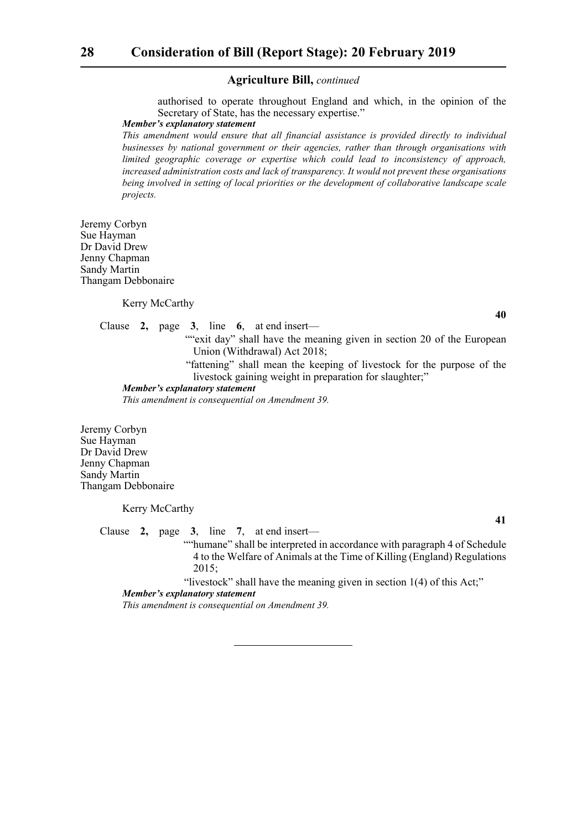authorised to operate throughout England and which, in the opinion of the Secretary of State, has the necessary expertise."

#### *Member's explanatory statement*

*This amendment would ensure that all financial assistance is provided directly to individual businesses by national government or their agencies, rather than through organisations with limited geographic coverage or expertise which could lead to inconsistency of approach, increased administration costs and lack of transparency. It would not prevent these organisations being involved in setting of local priorities or the development of collaborative landscape scale projects.* 

Jeremy Corbyn Sue Hayman Dr David Drew Jenny Chapman Sandy Martin Thangam Debbonaire

Kerry McCarthy

Clause **2,** page **3**, line **6**, at end insert—

""exit day" shall have the meaning given in section 20 of the European Union (Withdrawal) Act 2018;

 "fattening" shall mean the keeping of livestock for the purpose of the livestock gaining weight in preparation for slaughter;"

#### *Member's explanatory statement*

*This amendment is consequential on Amendment 39.*

Jeremy Corbyn Sue Hayman Dr David Drew Jenny Chapman Sandy Martin Thangam Debbonaire

Kerry McCarthy

Clause **2,** page **3**, line **7**, at end insert—

 ""humane" shall be interpreted in accordance with paragraph 4 of Schedule 4 to the Welfare of Animals at the Time of Killing (England) Regulations 2015;

"livestock" shall have the meaning given in section 1(4) of this Act;"

#### *Member's explanatory statement*

*This amendment is consequential on Amendment 39.*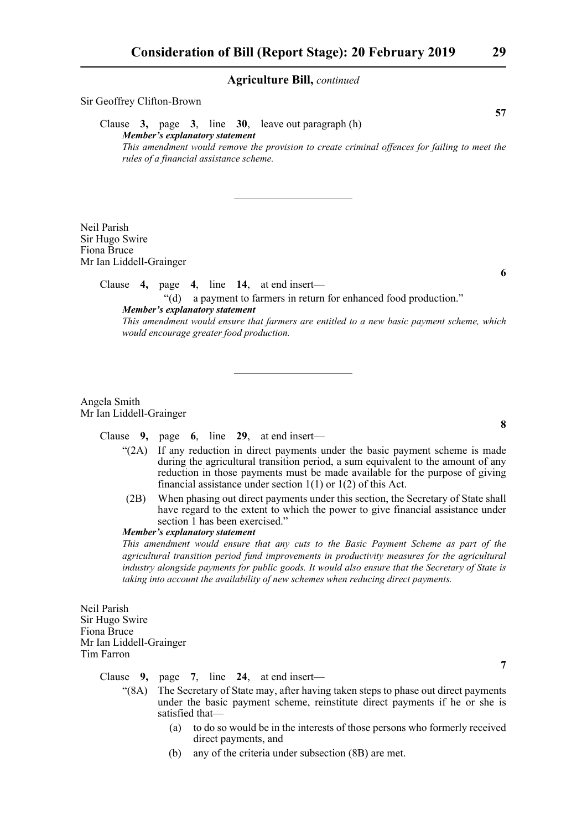Sir Geoffrey Clifton-Brown **57** Clause **3,** page **3**, line **30**, leave out paragraph (h) *Member's explanatory statement This amendment would remove the provision to create criminal offences for failing to meet the rules of a financial assistance scheme.*

Neil Parish Sir Hugo Swire Fiona Bruce Mr Ian Liddell-Grainger

Clause **4,** page **4**, line **14**, at end insert—

"(d) a payment to farmers in return for enhanced food production." *Member's explanatory statement This amendment would ensure that farmers are entitled to a new basic payment scheme, which would encourage greater food production.*

Angela Smith Mr Ian Liddell-Grainger

Clause **9,** page **6**, line **29**, at end insert—

- $\mathcal{L}(2A)$  If any reduction in direct payments under the basic payment scheme is made during the agricultural transition period, a sum equivalent to the amount of any reduction in those payments must be made available for the purpose of giving financial assistance under section 1(1) or 1(2) of this Act.
- (2B) When phasing out direct payments under this section, the Secretary of State shall have regard to the extent to which the power to give financial assistance under section 1 has been exercised."

#### *Member's explanatory statement*

*This amendment would ensure that any cuts to the Basic Payment Scheme as part of the agricultural transition period fund improvements in productivity measures for the agricultural industry alongside payments for public goods. It would also ensure that the Secretary of State is taking into account the availability of new schemes when reducing direct payments.*

Neil Parish Sir Hugo Swire Fiona Bruce Mr Ian Liddell-Grainger Tim Farron

Clause **9,** page **7**, line **24**, at end insert—

- "(8A) The Secretary of State may, after having taken steps to phase out direct payments under the basic payment scheme, reinstitute direct payments if he or she is satisfied that—
	- (a) to do so would be in the interests of those persons who formerly received direct payments, and
	- (b) any of the criteria under subsection (8B) are met.

**8**

**7**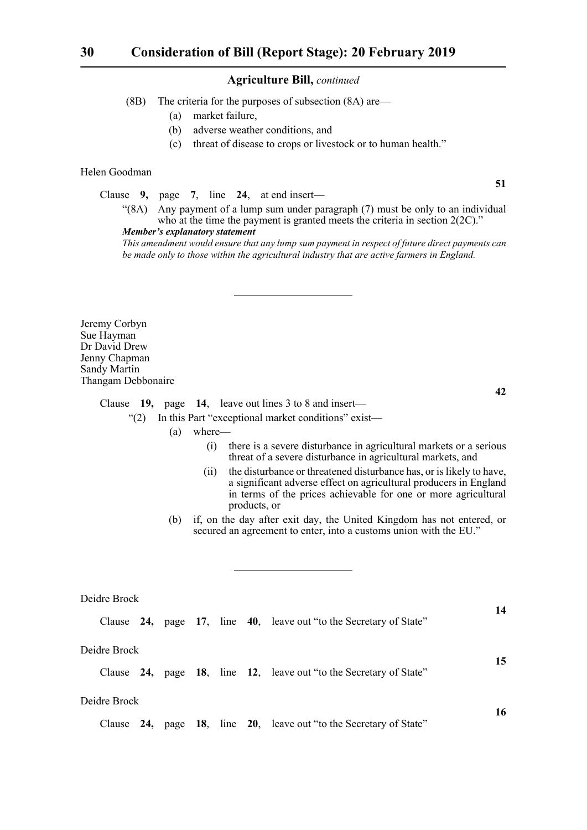(8B) The criteria for the purposes of subsection (8A) are—

- (a) market failure,
- (b) adverse weather conditions, and
- (c) threat of disease to crops or livestock or to human health."

#### Helen Goodman

Clause **9,** page **7**, line **24**, at end insert—

"(8A) Any payment of a lump sum under paragraph (7) must be only to an individual who at the time the payment is granted meets the criteria in section 2(2C)." *Member's explanatory statement* 

*This amendment would ensure that any lump sum payment in respect of future direct payments can be made only to those within the agricultural industry that are active farmers in England.*

Jeremy Corbyn Sue Hayman Dr David Drew Jenny Chapman Sandy Martin Thangam Debbonaire

**42**

**14**

**51**

Clause **19,** page **14**, leave out lines 3 to 8 and insert—

"(2) In this Part "exceptional market conditions" exist—

- (a) where—
	- (i) there is a severe disturbance in agricultural markets or a serious threat of a severe disturbance in agricultural markets, and
	- (ii) the disturbance or threatened disturbance has, or is likely to have, a significant adverse effect on agricultural producers in England in terms of the prices achievable for one or more agricultural products, or
- (b) if, on the day after exit day, the United Kingdom has not entered, or secured an agreement to enter, into a customs union with the EU."

#### Deidre Brock

|              |              |  |  |  |  | Clause 24, page 17, line 40, leave out "to the Secretary of State" |    |
|--------------|--------------|--|--|--|--|--------------------------------------------------------------------|----|
|              | Deidre Brock |  |  |  |  |                                                                    |    |
|              |              |  |  |  |  | Clause 24, page 18, line 12, leave out "to the Secretary of State" | 15 |
| Deidre Brock |              |  |  |  |  |                                                                    |    |
|              |              |  |  |  |  | Clause 24, page 18, line 20, leave out "to the Secretary of State" | 16 |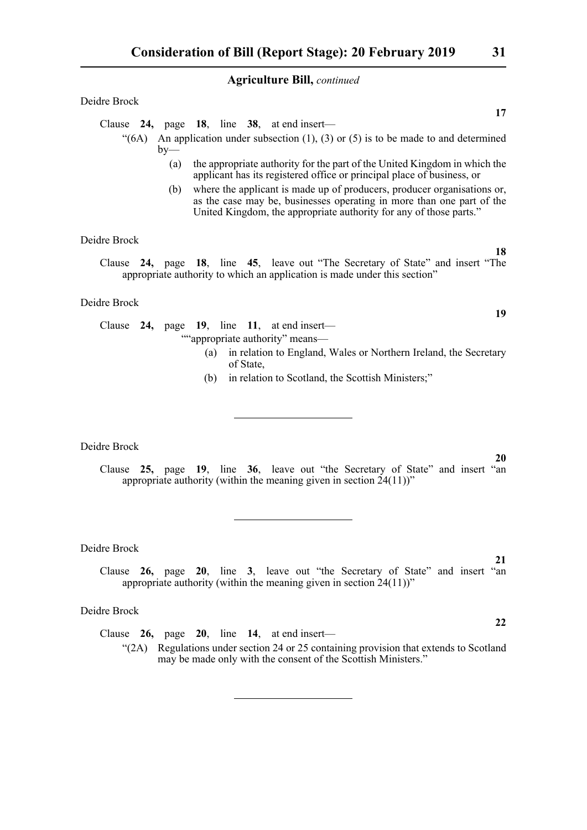#### Deidre Brock

Clause **24,** page **18**, line **38**, at end insert—

- $\mathcal{L}(6A)$  An application under subsection (1), (3) or (5) is to be made to and determined  $bv$ —
	- (a) the appropriate authority for the part of the United Kingdom in which the applicant has its registered office or principal place of business, or
	- (b) where the applicant is made up of producers, producer organisations or, as the case may be, businesses operating in more than one part of the United Kingdom, the appropriate authority for any of those parts."

#### Deidre Brock

Clause **24,** page **18**, line **45**, leave out "The Secretary of State" and insert "The appropriate authority to which an application is made under this section"

#### Deidre Brock

Clause **24,** page **19**, line **11**, at end insert— ""appropriate authority" means—

- (a) in relation to England, Wales or Northern Ireland, the Secretary of State,
- (b) in relation to Scotland, the Scottish Ministers;"

Deidre Brock

Clause **25,** page **19**, line **36**, leave out "the Secretary of State" and insert "an appropriate authority (within the meaning given in section  $24(11)$ )"

#### Deidre Brock

Clause **26,** page **20**, line **3**, leave out "the Secretary of State" and insert "an appropriate authority (within the meaning given in section 24(11))"

#### Deidre Brock

Clause **26,** page **20**, line **14**, at end insert—

"(2A) Regulations under section 24 or 25 containing provision that extends to Scotland may be made only with the consent of the Scottish Ministers."

**17**

**21**

**22**

**20**

**18**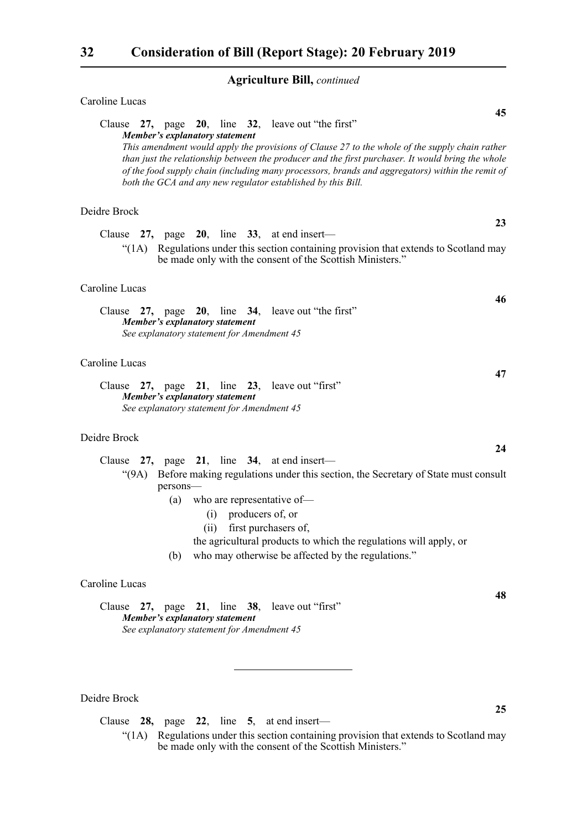| Caroline Lucas                                                                                                                                                                                                                                                                                                                                                                                                                                                         |    |
|------------------------------------------------------------------------------------------------------------------------------------------------------------------------------------------------------------------------------------------------------------------------------------------------------------------------------------------------------------------------------------------------------------------------------------------------------------------------|----|
| Clause 27, page 20, line 32, leave out "the first"<br><b>Member's explanatory statement</b><br>This amendment would apply the provisions of Clause 27 to the whole of the supply chain rather<br>than just the relationship between the producer and the first purchaser. It would bring the whole<br>of the food supply chain (including many processors, brands and aggregators) within the remit of<br>both the GCA and any new regulator established by this Bill. | 45 |
| Deidre Brock                                                                                                                                                                                                                                                                                                                                                                                                                                                           |    |
| Clause 27, page 20, line 33, at end insert-                                                                                                                                                                                                                                                                                                                                                                                                                            | 23 |
| "(1A) Regulations under this section containing provision that extends to Scotland may<br>be made only with the consent of the Scottish Ministers."                                                                                                                                                                                                                                                                                                                    |    |
| Caroline Lucas                                                                                                                                                                                                                                                                                                                                                                                                                                                         |    |
| Clause 27, page 20, line 34, leave out "the first"<br>Member's explanatory statement<br>See explanatory statement for Amendment 45                                                                                                                                                                                                                                                                                                                                     | 46 |
| Caroline Lucas                                                                                                                                                                                                                                                                                                                                                                                                                                                         |    |
| Clause 27, page 21, line 23, leave out "first"<br><b>Member's explanatory statement</b><br>See explanatory statement for Amendment 45                                                                                                                                                                                                                                                                                                                                  | 47 |
| Deidre Brock                                                                                                                                                                                                                                                                                                                                                                                                                                                           |    |
| Clause $27$ , page $21$ , line $34$ , at end insert—                                                                                                                                                                                                                                                                                                                                                                                                                   | 24 |
| "(9A) Before making regulations under this section, the Secretary of State must consult<br>persons-                                                                                                                                                                                                                                                                                                                                                                    |    |
| (a) who are representative of-                                                                                                                                                                                                                                                                                                                                                                                                                                         |    |
| producers of, or<br>(i)                                                                                                                                                                                                                                                                                                                                                                                                                                                |    |
| (ii) first purchasers of,<br>the agricultural products to which the regulations will apply, or<br>who may otherwise be affected by the regulations."<br>(b)                                                                                                                                                                                                                                                                                                            |    |
| Caroline Lucas                                                                                                                                                                                                                                                                                                                                                                                                                                                         |    |
| Clause 27, page 21, line 38, leave out "first"<br><b>Member's explanatory statement</b><br>See explanatory statement for Amendment 45                                                                                                                                                                                                                                                                                                                                  | 48 |
|                                                                                                                                                                                                                                                                                                                                                                                                                                                                        |    |

## Deidre Brock

Clause **28,** page **22**, line **5**, at end insert—

"(1A) Regulations under this section containing provision that extends to Scotland may be made only with the consent of the Scottish Ministers."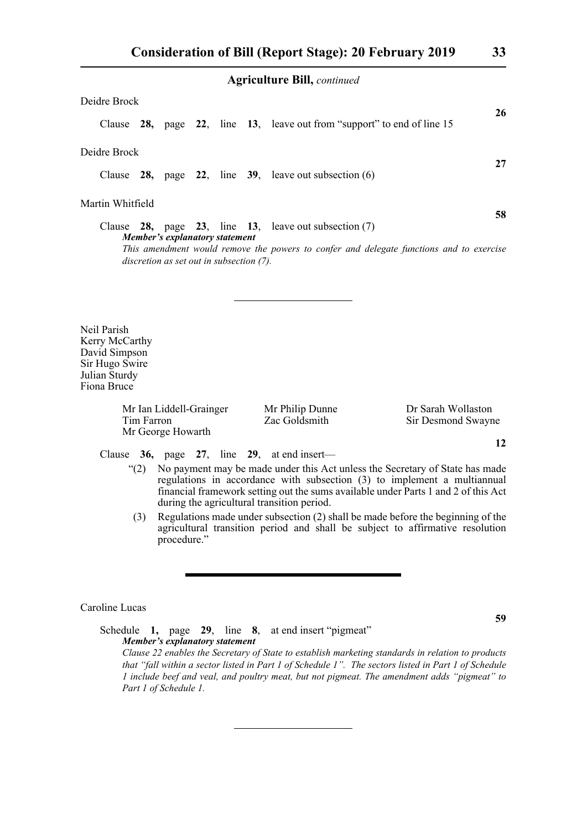| Deidre Brock     |                                          |  |                                                                                         |    |
|------------------|------------------------------------------|--|-----------------------------------------------------------------------------------------|----|
|                  |                                          |  | Clause 28, page 22, line 13, leave out from "support" to end of line 15                 | 26 |
| Deidre Brock     |                                          |  |                                                                                         | 27 |
|                  |                                          |  | Clause $28$ , page $22$ , line $39$ , leave out subsection (6)                          |    |
| Martin Whitfield |                                          |  |                                                                                         | 58 |
|                  | Member's explanatory statement           |  | Clause 28, page 23, line 13, leave out subsection $(7)$                                 |    |
|                  | discretion as set out in subsection (7). |  | This amendment would remove the powers to confer and delegate functions and to exercise |    |

Neil Parish Kerry McCarthy David Simpson Sir Hugo Swire Julian Sturdy Fiona Bruce

> Mr Ian Liddell-Grainger Mr Philip Dunne Dr Sarah Wollaston Tim Farron Zac Goldsmith Sir Desmond Swayne Mr George Howarth

Clause **36,** page **27**, line **29**, at end insert—

- "(2) No payment may be made under this Act unless the Secretary of State has made regulations in accordance with subsection (3) to implement a multiannual financial framework setting out the sums available under Parts 1 and 2 of this Act during the agricultural transition period.
- (3) Regulations made under subsection (2) shall be made before the beginning of the agricultural transition period and shall be subject to affirmative resolution procedure."

Caroline Lucas

Schedule **1,** page **29**, line **8**, at end insert "pigmeat" *Member's explanatory statement Clause 22 enables the Secretary of State to establish marketing standards in relation to products that "fall within a sector listed in Part 1 of Schedule 1". The sectors listed in Part 1 of Schedule 1 include beef and veal, and poultry meat, but not pigmeat. The amendment adds "pigmeat" to Part 1 of Schedule 1.*

**59**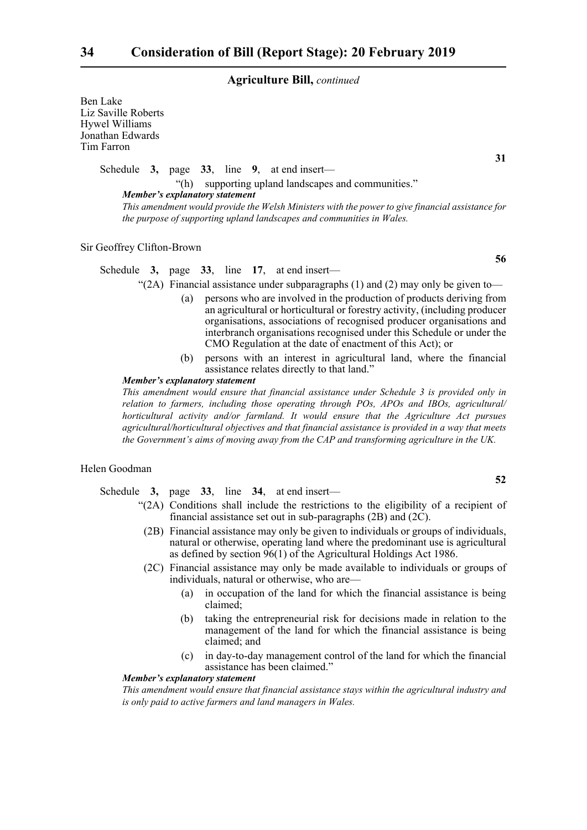Ben Lake Liz Saville Roberts Hywel Williams Jonathan Edwards Tim Farron

Schedule **3,** page **33**, line **9**, at end insert—

Schedule **3,** page **33**, line **17**, at end insert—

"(h) supporting upland landscapes and communities." *Member's explanatory statement This amendment would provide the Welsh Ministers with the power to give financial assistance for the purpose of supporting upland landscapes and communities in Wales.*

Sir Geoffrey Clifton-Brown

**56**

"(2A) Financial assistance under subparagraphs  $(1)$  and  $(2)$  may only be given to-

- (a) persons who are involved in the production of products deriving from an agricultural or horticultural or forestry activity, (including producer organisations, associations of recognised producer organisations and interbranch organisations recognised under this Schedule or under the CMO Regulation at the date of enactment of this Act); or
- (b) persons with an interest in agricultural land, where the financial assistance relates directly to that land."

#### *Member's explanatory statement*

*This amendment would ensure that financial assistance under Schedule 3 is provided only in relation to farmers, including those operating through POs, APOs and IBOs, agricultural/ horticultural activity and/or farmland. It would ensure that the Agriculture Act pursues agricultural/horticultural objectives and that financial assistance is provided in a way that meets the Government's aims of moving away from the CAP and transforming agriculture in the UK.*

#### Helen Goodman

Schedule **3,** page **33**, line **34**, at end insert—

- "(2A) Conditions shall include the restrictions to the eligibility of a recipient of financial assistance set out in sub-paragraphs (2B) and (2C).
- (2B) Financial assistance may only be given to individuals or groups of individuals, natural or otherwise, operating land where the predominant use is agricultural as defined by section 96(1) of the Agricultural Holdings Act 1986.
- (2C) Financial assistance may only be made available to individuals or groups of individuals, natural or otherwise, who are—
	- (a) in occupation of the land for which the financial assistance is being claimed;
	- (b) taking the entrepreneurial risk for decisions made in relation to the management of the land for which the financial assistance is being claimed; and
	- (c) in day-to-day management control of the land for which the financial assistance has been claimed."

#### *Member's explanatory statement*

*This amendment would ensure that financial assistance stays within the agricultural industry and is only paid to active farmers and land managers in Wales.*

**31**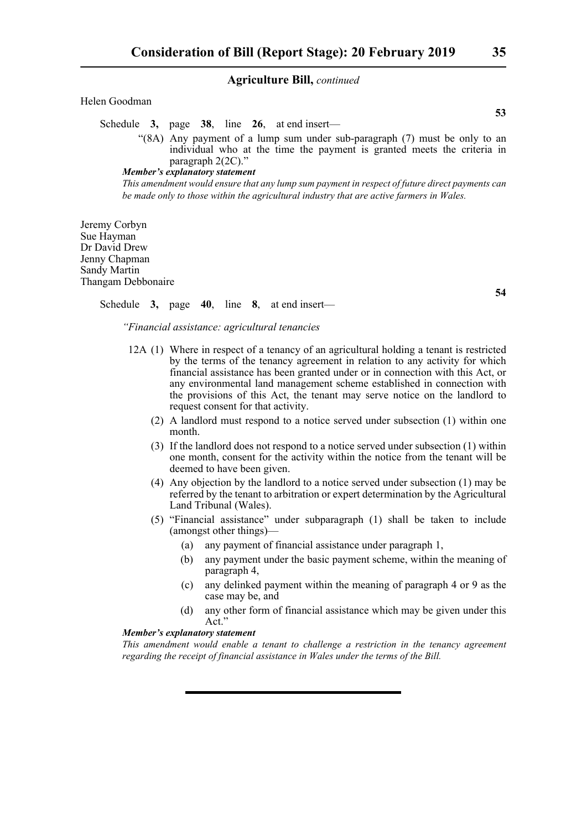#### Helen Goodman

Schedule **3,** page **38**, line **26**, at end insert—

"(8A) Any payment of a lump sum under sub-paragraph (7) must be only to an individual who at the time the payment is granted meets the criteria in paragraph 2(2C)."

*Member's explanatory statement* 

*This amendment would ensure that any lump sum payment in respect of future direct payments can be made only to those within the agricultural industry that are active farmers in Wales.*

Jeremy Corbyn Sue Hayman Dr David Drew Jenny Chapman Sandy Martin Thangam Debbonaire

Schedule **3,** page **40**, line **8**, at end insert—

*"Financial assistance: agricultural tenancies*

- 12A (1) Where in respect of a tenancy of an agricultural holding a tenant is restricted by the terms of the tenancy agreement in relation to any activity for which financial assistance has been granted under or in connection with this Act, or any environmental land management scheme established in connection with the provisions of this Act, the tenant may serve notice on the landlord to request consent for that activity.
	- (2) A landlord must respond to a notice served under subsection (1) within one month.
	- (3) If the landlord does not respond to a notice served under subsection (1) within one month, consent for the activity within the notice from the tenant will be deemed to have been given.
	- (4) Any objection by the landlord to a notice served under subsection (1) may be referred by the tenant to arbitration or expert determination by the Agricultural Land Tribunal (Wales).
	- (5) "Financial assistance" under subparagraph (1) shall be taken to include (amongst other things)—
		- (a) any payment of financial assistance under paragraph 1,
		- (b) any payment under the basic payment scheme, within the meaning of paragraph 4,
		- (c) any delinked payment within the meaning of paragraph 4 or 9 as the case may be, and
		- (d) any other form of financial assistance which may be given under this Act."

#### *Member's explanatory statement*

*This amendment would enable a tenant to challenge a restriction in the tenancy agreement regarding the receipt of financial assistance in Wales under the terms of the Bill.*

**53**